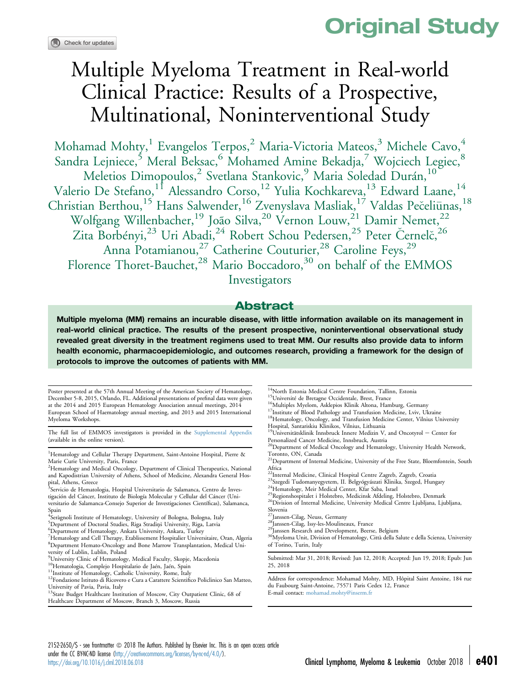# Original Study

# Multiple Myeloma Treatment in Real-world Clinical Practice: Results of a Prospective, Multinational, Noninterventional Study

Mohamad Mohty,<sup>1</sup> Evangelos Terpos,<sup>2</sup> Maria-Victoria Mateos,<sup>3</sup> Michele Cavo,<sup>4</sup> Sandra Lejniece,<sup>5</sup> Meral Beksac,<sup>6</sup> Mohamed Amine Bekadja,<sup>7</sup> Wojciech Legiec,<sup>8</sup> Meletios Dimopoulos,<sup>2</sup> Svetlana Stankovic,<sup>9</sup> Maria Soledad Durán,<sup>10</sup> Valerio De Stefano,<sup>11</sup> Alessandro Corso,<sup>12</sup> Yulia Kochkareva,<sup>13</sup> Edward Laane,<sup>14</sup> Christian Berthou,<sup>15</sup> Hans Salwender,<sup>16</sup> Zvenyslava Masliak,<sup>17</sup> Valdas Pečeliūnas,<sup>18</sup> Wolfgang Willenbacher,<sup>19</sup> João Silva,<sup>20</sup> Vernon Louw,<sup>21</sup> Damir Nemet,<sup>22</sup> Zita Borbényi,<sup>23</sup> Uri Abadi,<sup>24</sup> Robert Schou Pedersen,<sup>25</sup> Peter Černelč,<sup>26</sup> Anna Potamianou,<sup>27</sup> Catherine Couturier,<sup>28</sup> Caroline Feys,<sup>29</sup> Florence Thoret-Bauchet,<sup>28</sup> Mario Boccadoro,<sup>30</sup> on behalf of the EMMOS Investigators

### Abstract

Multiple myeloma (MM) remains an incurable disease, with little information available on its management in real-world clinical practice. The results of the present prospective, noninterventional observational study revealed great diversity in the treatment regimens used to treat MM. Our results also provide data to inform health economic, pharmacoepidemiologic, and outcomes research, providing a framework for the design of protocols to improve the outcomes of patients with MM.

Poster presented at the 57th Annual Meeting of the American Society of Hematology, December 5-8, 2015, Orlando, FL. Additional presentations of prefinal data were given at the 2014 and 2015 European Hematology Association annual meetings, 2014 European School of Haematology annual meeting, and 2013 and 2015 International Myeloma Workshops.

The full list of EMMOS investigators is provided in the [Supplemental Appendix](#page-13-0) (available in the online version).

<sup>1</sup>Hematology and Cellular Therapy Department, Saint-Antoine Hospital, Pierre & Marie Curie University, Paris, France

<sup>2</sup>Hematology and Medical Oncology, Department of Clinical Therapeutics, National and Kapodistrian University of Athens, School of Medicine, Alexandra General Hos-

pital, Athens, Greece<br><sup>3</sup>Servicio de Hematologia, Hospital Universitario de Salamanca, Centro de Investigación del Cáncer, Instituto de Biología Molecular y Cellular del Cáncer (Universitario de Salamanca-Consejo Superior de Investigaciones Científicas), Salamanca,

- Spain 4 Seràgnoli Institute of Hematology, University of Bologna, Bologna, Italy <sup>5</sup> Department of Doctoral Studies, Riga Stradins University, Riga, Latvia
- <sup>6</sup>Department of Hematology, Ankara University, Ankara, Turkey

7 Hematology and Cell Therapy, Etablissement Hospitalier Universitaire, Oran, Algeria 8 Department Hemato-Oncology and Bone Marrow Transplantation, Medical University of Lublin, Lublin, Poland

- 9 University Clinic of Hematology, Medical Faculty, Skopje, Macedonia
- 
- 

Healthcare Department of Moscow, Branch 3, Moscow, Russia

- 
- 
- 
- $^{14}$ North Estonia Medical Centre Foundation, Tallinn, Estonia  $^{15}$ Université de Bretagne Occidentale, Brest, France  $^{16}$ Multiples Myelom, Asklepios Klinik Altona, Hamburg, Germany $^{17}$ Institute of Blood Pathology a
- Hospital, Santariskiu Klinikos, Vilnius, Lithuania<br><sup>19</sup>Universitätsklinik Innsbruck Innere Medizin V, and Oncotyrol Center for

Personalized Cancer Medicine, Innsbruck, Austria 20Department of Medical Oncology and Hematology, University Health Network,

- Toronto, ON, Canada
- <sup>21</sup>Department of Internal Medicine, University of the Free State, Bloemfontein, South Africa<br><sup>22</sup>Internal Medicine, Clinical Hospital Centre Zagreb, Zagreb, Croatia
- 
- 

<sup>23</sup> Szegedi Tudomanyegyetem, II. Belgyógyászati Klinika, Szeged, Hungary<br><sup>24</sup> Hematology, Meir Medical Center, Kfar Saba, Israel<br><sup>25</sup> Regionshospitalet i Holstebro, Medicinsk Afdeling, Holstebro, Denmark<br><sup>26</sup> Division of Slovenia<br><sup>27</sup>Janssen-Cilag, Neuss, Germany

- 
- 
- 

27Janssen-Cilag, Neuss, Germany 28Janssen-Cilag, Issy-les-Moulineaux, France 29Janssen Research and Development, Beerse, Belgium 30Myeloma Unit, Division of Hematology, Città della Salute e della Scienza, University of Torino, Turin, Italy

Submitted: Mar 31, 2018; Revised: Jun 12, 2018; Accepted: Jun 19, 2018; Epub: Jun 25, 2018

Address for correspondence: Mohamad Mohty, MD, Hôpital Saint Antoine, 184 rue du Faubourg Saint-Antoine, 75571 Paris Cedex 12, France E-mail contact: [mohamad.mohty@inserm.fr](mailto:mohamad.mohty@inserm.fr)

2152-2650/\$ - see frontmatter @ 2018 The Authors. Published by Elsevier Inc. This is an open access article under the CC BY-NC-ND license [\(http://creativecommons.org/licenses/by-nc-nd/4.0/\)](http://creativecommons.org/licenses/by-nc-nd/4.0/). https://doi.org/10.1016/j.dml.2018.06.018 **Clinical Lymphoma, Myeloma & Leukemia** October 2018 | **e401** 

<sup>&</sup>lt;sup>10</sup>Hematologia, Complejo Hospitalario de Jaén, Jaén, Spain<br><sup>11</sup>Institute of Hematology, Catholic University, Rome, Italy<br><sup>12</sup>Fondazione Istituto di Ricovero e Cura a Carattere Scientifico Policlinico San Matteo, University of Pavia, Pavia, Italy<br><sup>13</sup>State Budget Healthcare Institution of Moscow, City Outpatient Clinic, 68 of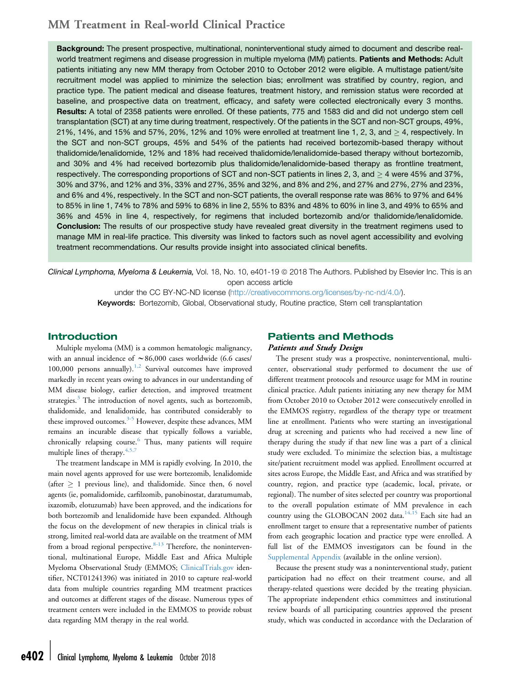Background: The present prospective, multinational, noninterventional study aimed to document and describe realworld treatment regimens and disease progression in multiple myeloma (MM) patients. Patients and Methods: Adult patients initiating any new MM therapy from October 2010 to October 2012 were eligible. A multistage patient/site recruitment model was applied to minimize the selection bias; enrollment was stratified by country, region, and practice type. The patient medical and disease features, treatment history, and remission status were recorded at baseline, and prospective data on treatment, efficacy, and safety were collected electronically every 3 months. Results: A total of 2358 patients were enrolled. Of these patients, 775 and 1583 did and did not undergo stem cell transplantation (SCT) at any time during treatment, respectively. Of the patients in the SCT and non-SCT groups, 49%, 21%, 14%, and 15% and 57%, 20%, 12% and 10% were enrolled at treatment line 1, 2, 3, and  $>$  4, respectively. In the SCT and non-SCT groups, 45% and 54% of the patients had received bortezomib-based therapy without thalidomide/lenalidomide, 12% and 18% had received thalidomide/lenalidomide-based therapy without bortezomib, and 30% and 4% had received bortezomib plus thalidomide/lenalidomide-based therapy as frontline treatment, respectively. The corresponding proportions of SCT and non-SCT patients in lines 2, 3, and  $\geq$  4 were 45% and 37%, 30% and 37%, and 12% and 3%, 33% and 27%, 35% and 32%, and 8% and 2%, and 27% and 27%, 27% and 23%, and 6% and 4%, respectively. In the SCT and non-SCT patients, the overall response rate was 86% to 97% and 64% to 85% in line 1, 74% to 78% and 59% to 68% in line 2, 55% to 83% and 48% to 60% in line 3, and 49% to 65% and 36% and 45% in line 4, respectively, for regimens that included bortezomib and/or thalidomide/lenalidomide. Conclusion: The results of our prospective study have revealed great diversity in the treatment regimens used to manage MM in real-life practice. This diversity was linked to factors such as novel agent accessibility and evolving treatment recommendations. Our results provide insight into associated clinical benefits.

Clinical Lymphoma, Myeloma & Leukemia, Vol. 18, No. 10, e401-19 @ 2018 The Authors. Published by Elsevier Inc. This is an open access article

> under the CC BY-NC-ND license [\(http://creativecommons.org/licenses/by-nc-nd/4.0/](http://creativecommons.org/licenses/by-nc-nd/4.0/)). Keywords: Bortezomib, Global, Observational study, Routine practice, Stem cell transplantation

### Introduction

Multiple myeloma (MM) is a common hematologic malignancy, with an annual incidence of  $\sim 86,000$  cases worldwide (6.6 cases/ 100,000 persons annually). $1,2$  Survival outcomes have improved markedly in recent years owing to advances in our understanding of MM disease biology, earlier detection, and improved treatment strategies.<sup>[3](#page-13-0)</sup> The introduction of novel agents, such as bortezomib, thalidomide, and lenalidomide, has contributed considerably to these improved outcomes.<sup>[3-5](#page-13-0)</sup> However, despite these advances, MM remains an incurable disease that typically follows a variable, chronically relapsing course.<sup>[6](#page-13-0)</sup> Thus, many patients will require multiple lines of therapy.<sup>[4,5,7](#page-13-0)</sup>

The treatment landscape in MM is rapidly evolving. In 2010, the main novel agents approved for use were bortezomib, lenalidomide (after  $\geq 1$  previous line), and thalidomide. Since then, 6 novel agents (ie, pomalidomide, carfilzomib, panobinostat, daratumumab, ixazomib, elotuzumab) have been approved, and the indications for both bortezomib and lenalidomide have been expanded. Although the focus on the development of new therapies in clinical trials is strong, limited real-world data are available on the treatment of MM from a broad regional perspective. $8-13$  Therefore, the noninterventional, multinational Europe, Middle East and Africa Multiple Myeloma Observational Study (EMMOS; [ClinicalTrials.gov](http://ClinicalTrials.gov) identifier, NCT01241396) was initiated in 2010 to capture real-world data from multiple countries regarding MM treatment practices and outcomes at different stages of the disease. Numerous types of treatment centers were included in the EMMOS to provide robust data regarding MM therapy in the real world.

### Patients and Methods Patients and Study Design

The present study was a prospective, noninterventional, multicenter, observational study performed to document the use of different treatment protocols and resource usage for MM in routine clinical practice. Adult patients initiating any new therapy for MM from October 2010 to October 2012 were consecutively enrolled in the EMMOS registry, regardless of the therapy type or treatment line at enrollment. Patients who were starting an investigational drug at screening and patients who had received a new line of therapy during the study if that new line was a part of a clinical study were excluded. To minimize the selection bias, a multistage site/patient recruitment model was applied. Enrollment occurred at sites across Europe, the Middle East, and Africa and was stratified by country, region, and practice type (academic, local, private, or regional). The number of sites selected per country was proportional to the overall population estimate of MM prevalence in each country using the GLOBOCAN 2002 data.<sup>[14,15](#page-13-0)</sup> Each site had an enrollment target to ensure that a representative number of patients from each geographic location and practice type were enrolled. A full list of the EMMOS investigators can be found in the [Supplemental Appendix](#page-13-0) (available in the online version).

Because the present study was a noninterventional study, patient participation had no effect on their treatment course, and all therapy-related questions were decided by the treating physician. The appropriate independent ethics committees and institutional review boards of all participating countries approved the present study, which was conducted in accordance with the Declaration of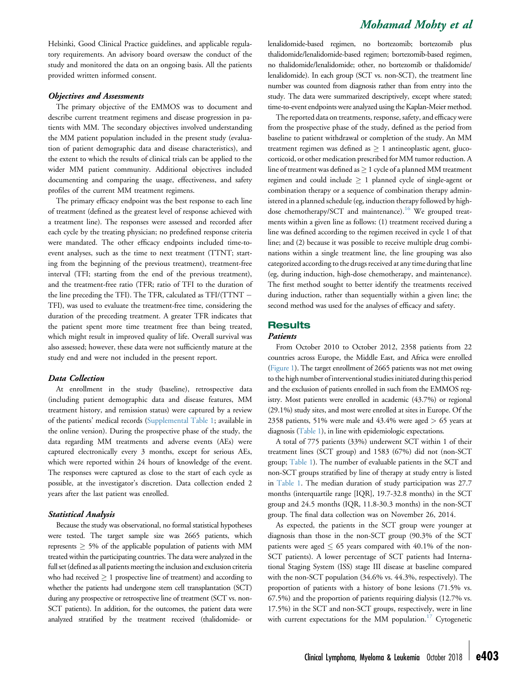Helsinki, Good Clinical Practice guidelines, and applicable regulatory requirements. An advisory board oversaw the conduct of the study and monitored the data on an ongoing basis. All the patients provided written informed consent.

#### Objectives and Assessments

The primary objective of the EMMOS was to document and describe current treatment regimens and disease progression in patients with MM. The secondary objectives involved understanding the MM patient population included in the present study (evaluation of patient demographic data and disease characteristics), and the extent to which the results of clinical trials can be applied to the wider MM patient community. Additional objectives included documenting and comparing the usage, effectiveness, and safety profiles of the current MM treatment regimens.

The primary efficacy endpoint was the best response to each line of treatment (defined as the greatest level of response achieved with a treatment line). The responses were assessed and recorded after each cycle by the treating physician; no predefined response criteria were mandated. The other efficacy endpoints included time-toevent analyses, such as the time to next treatment (TTNT; starting from the beginning of the previous treatment), treatment-free interval (TFI; starting from the end of the previous treatment), and the treatment-free ratio (TFR; ratio of TFI to the duration of the line preceding the TFI). The TFR, calculated as TFI/(TTNT TFI), was used to evaluate the treatment-free time, considering the duration of the preceding treatment. A greater TFR indicates that the patient spent more time treatment free than being treated, which might result in improved quality of life. Overall survival was also assessed; however, these data were not sufficiently mature at the study end and were not included in the present report.

#### Data Collection

At enrollment in the study (baseline), retrospective data (including patient demographic data and disease features, MM treatment history, and remission status) were captured by a review of the patients' medical records [\(Supplemental Table 1;](#page-15-0) available in the online version). During the prospective phase of the study, the data regarding MM treatments and adverse events (AEs) were captured electronically every 3 months, except for serious AEs, which were reported within 24 hours of knowledge of the event. The responses were captured as close to the start of each cycle as possible, at the investigator's discretion. Data collection ended 2 years after the last patient was enrolled.

#### Statistical Analysis

Because the study was observational, no formal statistical hypotheses were tested. The target sample size was 2665 patients, which represents  $\geq$  5% of the applicable population of patients with MM treated within the participating countries. The data were analyzed in the full set (defined as all patients meeting the inclusion and exclusion criteria who had received  $\geq 1$  prospective line of treatment) and according to whether the patients had undergone stem cell transplantation (SCT) during any prospective or retrospective line of treatment (SCT vs. non-SCT patients). In addition, for the outcomes, the patient data were analyzed stratified by the treatment received (thalidomide- or

### Mohamad Mohty et al

lenalidomide-based regimen, no bortezomib; bortezomib plus thalidomide/lenalidomide-based regimen; bortezomib-based regimen, no thalidomide/lenalidomide; other, no bortezomib or thalidomide/ lenalidomide). In each group (SCT vs. non-SCT), the treatment line number was counted from diagnosis rather than from entry into the study. The data were summarized descriptively, except where stated; time-to-event endpoints were analyzed using the Kaplan-Meier method.

The reported data on treatments, response, safety, and efficacy were from the prospective phase of the study, defined as the period from baseline to patient withdrawal or completion of the study. An MM treatment regimen was defined as  $\geq 1$  antineoplastic agent, glucocorticoid, or other medication prescribed for MM tumor reduction. A line of treatment was defined as  $\geq 1$  cycle of a planned MM treatment regimen and could include  $\geq 1$  planned cycle of single-agent or combination therapy or a sequence of combination therapy administered in a planned schedule (eg, induction therapy followed by high-dose chemotherapy/SCT and maintenance).<sup>[16](#page-13-0)</sup> We grouped treatments within a given line as follows: (1) treatment received during a line was defined according to the regimen received in cycle 1 of that line; and (2) because it was possible to receive multiple drug combinations within a single treatment line, the line grouping was also categorized according to the drugs received at any time during that line (eg, during induction, high-dose chemotherapy, and maintenance). The first method sought to better identify the treatments received during induction, rather than sequentially within a given line; the second method was used for the analyses of efficacy and safety.

### **Results**

### Patients

From October 2010 to October 2012, 2358 patients from 22 countries across Europe, the Middle East, and Africa were enrolled ([Figure 1\)](#page-3-0). The target enrollment of 2665 patients was not met owing to the high number of interventional studies initiated during this period and the exclusion of patients enrolled in such from the EMMOS registry. Most patients were enrolled in academic (43.7%) or regional (29.1%) study sites, and most were enrolled at sites in Europe. Of the 2358 patients, 51% were male and 43.4% were aged  $> 65$  years at diagnosis [\(Table 1](#page-4-0)), in line with epidemiologic expectations.

A total of 775 patients (33%) underwent SCT within 1 of their treatment lines (SCT group) and 1583 (67%) did not (non-SCT group; [Table 1\)](#page-4-0). The number of evaluable patients in the SCT and non-SCT groups stratified by line of therapy at study entry is listed in [Table 1.](#page-4-0) The median duration of study participation was 27.7 months (interquartile range [IQR], 19.7-32.8 months) in the SCT group and 24.5 months (IQR, 11.8-30.3 months) in the non-SCT group. The final data collection was on November 26, 2014.

As expected, the patients in the SCT group were younger at diagnosis than those in the non-SCT group (90.3% of the SCT patients were aged  $\leq 65$  years compared with 40.1% of the non-SCT patients). A lower percentage of SCT patients had International Staging System (ISS) stage III disease at baseline compared with the non-SCT population (34.6% vs. 44.3%, respectively). The proportion of patients with a history of bone lesions (71.5% vs. 67.5%) and the proportion of patients requiring dialysis (12.7% vs. 17.5%) in the SCT and non-SCT groups, respectively, were in line with current expectations for the MM population.<sup>[17](#page-13-0)</sup> Cytogenetic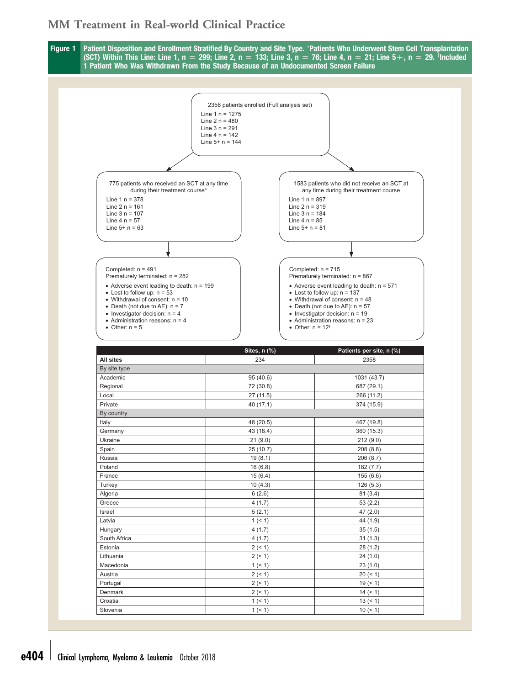<span id="page-3-0"></span>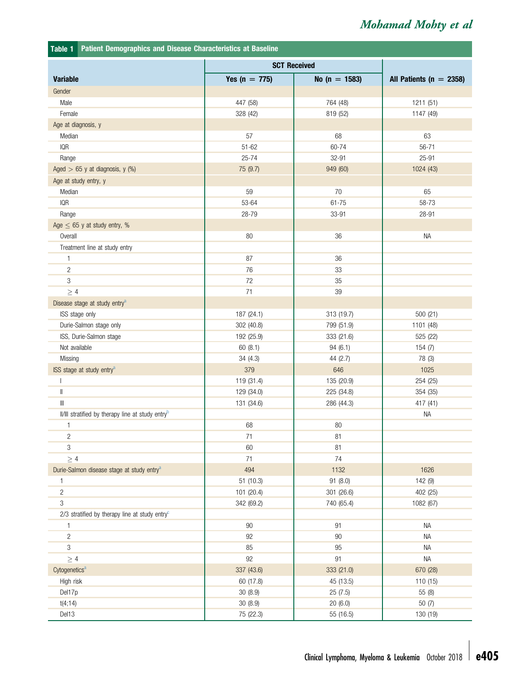<span id="page-4-0"></span>

| Patient Demographics and Disease Characteristics at Baseline<br>Table 1 |                     |                   |                             |  |
|-------------------------------------------------------------------------|---------------------|-------------------|-----------------------------|--|
|                                                                         | <b>SCT Received</b> |                   |                             |  |
| <b>Variable</b>                                                         | Yes ( $n = 775$ )   | No ( $n = 1583$ ) | All Patients ( $n = 2358$ ) |  |
| Gender                                                                  |                     |                   |                             |  |
| Male                                                                    | 447 (58)            | 764 (48)          | 1211 (51)                   |  |
| Female                                                                  | 328 (42)            | 819 (52)          | 1147 (49)                   |  |
| Age at diagnosis, y                                                     |                     |                   |                             |  |
| Median                                                                  | 57                  | 68                | 63                          |  |
| <b>IQR</b>                                                              | $51 - 62$           | 60-74             | $56 - 71$                   |  |
| Range                                                                   | $25 - 74$           | 32-91             | 25-91                       |  |
| Aged $> 65$ y at diagnosis, y (%)                                       | 75 (9.7)            | 949 (60)          | 1024 (43)                   |  |
| Age at study entry, y                                                   |                     |                   |                             |  |
| Median                                                                  | 59                  | 70                | 65                          |  |
| <b>IQR</b>                                                              | 53-64               | $61 - 75$         | 58-73                       |  |
| Range                                                                   | 28-79               | 33-91             | 28-91                       |  |
| Age $\leq$ 65 y at study entry, %                                       |                     |                   |                             |  |
| Overall                                                                 | 80                  | 36                | NA                          |  |
| Treatment line at study entry                                           |                     |                   |                             |  |
| 1                                                                       | 87                  | 36                |                             |  |
| $\overline{c}$                                                          | 76                  | 33                |                             |  |
| 3                                                                       | $72\,$              | 35                |                             |  |
| $\geq 4$                                                                | 71                  | 39                |                             |  |
| Disease stage at study entry <sup>a</sup>                               |                     |                   |                             |  |
| ISS stage only                                                          | 187 (24.1)          | 313 (19.7)        | 500 (21)                    |  |
| Durie-Salmon stage only                                                 | 302 (40.8)          | 799 (51.9)        | 1101 (48)                   |  |
| ISS, Durie-Salmon stage                                                 | 192 (25.9)          | 333 (21.6)        | 525 (22)                    |  |
| Not available                                                           | 60(8.1)             | 94(6.1)           | 154 (7)                     |  |
| Missing                                                                 | 34(4.3)             | 44 (2.7)          | 78 (3)                      |  |
| ISS stage at study entry <sup>a</sup>                                   | 379                 | 646               | 1025                        |  |
| $\overline{\phantom{a}}$                                                | 119 (31.4)          | 135 (20.9)        | 254 (25)                    |  |
| $\parallel$                                                             | 129 (34.0)          | 225 (34.8)        | 354 (35)                    |  |
| $\  \ $                                                                 | 131 (34.6)          | 286 (44.3)        | 417 (41)                    |  |
| II/III stratified by therapy line at study entry <sup>b</sup>           |                     |                   | ΝA                          |  |
| $\mathbf{1}$                                                            | 68                  | 80                |                             |  |
| $\overline{c}$                                                          | 71                  | 81                |                             |  |
| 3                                                                       | 60                  | 81                |                             |  |
| $\geq 4$                                                                | 71                  | 74                |                             |  |
| Durie-Salmon disease stage at study entry <sup>a</sup>                  | 494                 | 1132              | 1626                        |  |
| 1                                                                       | 51 (10.3)           | 91 (8.0)          | 142 (9)                     |  |
| $\sqrt{2}$                                                              | 101 (20.4)          | 301 (26.6)        | 402 (25)                    |  |
| 3                                                                       | 342 (69.2)          | 740 (65.4)        | 1082 (67)                   |  |
| 2/3 stratified by therapy line at study entry $c$                       |                     |                   |                             |  |
| 1                                                                       | 90                  | 91                | NA                          |  |
| $\overline{c}$                                                          | 92                  | $90\,$            | NA                          |  |
| 3                                                                       | 85                  | 95                | ΝA                          |  |
| $\geq 4$                                                                | 92                  | 91                | NA                          |  |
| Cytogenetics <sup>a</sup>                                               | 337 (43.6)          | 333 (21.0)        | 670 (28)                    |  |
| High risk                                                               | 60 (17.8)           | 45 (13.5)         | 110 (15)                    |  |
| Del17p                                                                  | 30 (8.9)            | 25 (7.5)          | 55 (8)                      |  |
| t(4; 14)                                                                | 30(8.9)             | 20(6.0)           | 50(7)                       |  |
| Del13                                                                   | 75 (22.3)           | 55 (16.5)         | 130 (19)                    |  |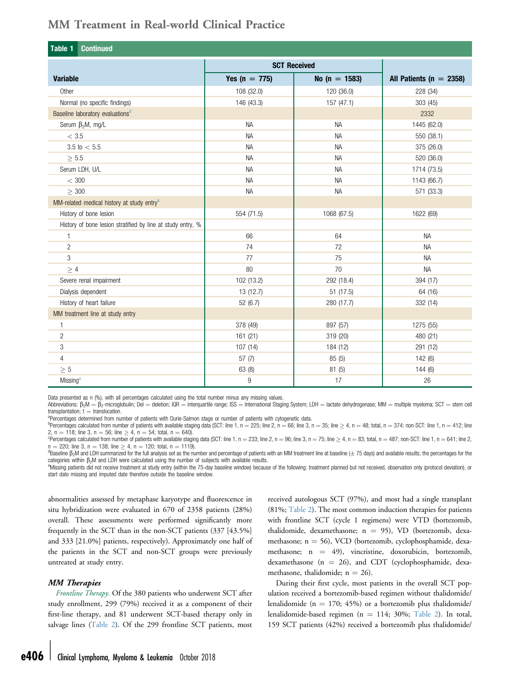<span id="page-5-0"></span>

| Table 1<br><b>Continued</b>                                 |                   |                     |                             |  |  |  |  |
|-------------------------------------------------------------|-------------------|---------------------|-----------------------------|--|--|--|--|
|                                                             |                   | <b>SCT Received</b> |                             |  |  |  |  |
| <b>Variable</b>                                             | Yes ( $n = 775$ ) | No ( $n = 1583$ )   | All Patients ( $n = 2358$ ) |  |  |  |  |
| Other                                                       | 108 (32.0)        | 120 (36.0)          | 228 (34)                    |  |  |  |  |
| Normal (no specific findings)                               | 146 (43.3)        | 157 (47.1)          | 303 (45)                    |  |  |  |  |
| Baseline laboratory evaluations <sup>d</sup>                |                   |                     | 2332                        |  |  |  |  |
| Serum $\beta_2 M$ , mg/L                                    | <b>NA</b>         | <b>NA</b>           | 1445 (62.0)                 |  |  |  |  |
| $<\,3.5$                                                    | <b>NA</b>         | <b>NA</b>           | 550 (38.1)                  |  |  |  |  |
| 3.5 to $< 5.5$                                              | <b>NA</b>         | <b>NA</b>           | 375 (26.0)                  |  |  |  |  |
| $\geq$ 5.5                                                  | <b>NA</b>         | <b>NA</b>           | 520 (36.0)                  |  |  |  |  |
| Serum LDH, U/L                                              | <b>NA</b>         | <b>NA</b>           | 1714 (73.5)                 |  |  |  |  |
| $<$ 300                                                     | <b>NA</b>         | <b>NA</b>           | 1143 (66.7)                 |  |  |  |  |
| > 300                                                       | <b>NA</b>         | <b>NA</b>           | 571 (33.3)                  |  |  |  |  |
| MM-related medical history at study entry <sup>a</sup>      |                   |                     |                             |  |  |  |  |
| History of bone lesion                                      | 554 (71.5)        | 1068 (67.5)         | 1622 (69)                   |  |  |  |  |
| History of bone lesion stratified by line at study entry, % |                   |                     |                             |  |  |  |  |
| $\mathbf{1}$                                                | 66                | 64                  | <b>NA</b>                   |  |  |  |  |
| $\overline{c}$                                              | 74                | 72                  | <b>NA</b>                   |  |  |  |  |
| 3                                                           | 77                | 75                  | <b>NA</b>                   |  |  |  |  |
| >4                                                          | 80                | 70                  | <b>NA</b>                   |  |  |  |  |
| Severe renal impairment                                     | 102 (13.2)        | 292 (18.4)          | 394 (17)                    |  |  |  |  |
| Dialysis dependent                                          | 13 (12.7)         | 51 (17.5)           | 64 (16)                     |  |  |  |  |
| History of heart failure                                    | 52(6.7)           | 280 (17.7)          | 332 (14)                    |  |  |  |  |
| MM treatment line at study entry                            |                   |                     |                             |  |  |  |  |
| 1                                                           | 378 (49)          | 897 (57)            | 1275 (55)                   |  |  |  |  |
| $\overline{c}$                                              | 161 (21)          | 319 (20)            | 480 (21)                    |  |  |  |  |
| 3                                                           | 107(14)           | 184 (12)            | 291 (12)                    |  |  |  |  |
| $\overline{4}$                                              | 57(7)             | 85(5)               | 142(6)                      |  |  |  |  |
| $\geq 5$                                                    | 63 (8)            | 81 (5)              | 144(6)                      |  |  |  |  |
| Missing <sup>e</sup>                                        | 9                 | 17                  | 26                          |  |  |  |  |

Data presented as n (%), with all percentages calculated using the total number minus any missing values.

Abbreviations:  $\beta_2M = \beta_2$ -microglobulin; Del = deletion; IQR = interquartile range; ISS = international Staging System; LDH = lactate dehydrogenase; MM = multiple myeloma; SCT = stem cell<br>transplantation: t = translocat transplantation; t = translocation.<br><sup>a</sup>Percentages determined from number of patients with Durie-Salmon stage or number of patients with cytogenetic data.

 $^{b}$ Percentages calculated from number of patients with available staging data (SCT: line 1, n = 225; line 2, n = 66; line 3, n = 35; line  $\geq$  4, n = 48; total, n = 374; non-SCT: line 1, n = 412; line 2, n = 118; line 3, n = 56; line  $> 4$ , n = 54; total, n = 640).

<sup>c</sup>Percentages calculated from number of patients with available staging data (SCT: line 1, n = 233; line 2, n = 96; line 3, n = 75; line  $\geq$  4, n = 83; total, n = 487; non-SCT: line 1, n = 641; line 2,  $n = 220$ ; line 3, n = 138; line  $\geq 4$ , n = 120; total, n = 1119).

 ${}^{d}$ Baseline  $\beta$ <sub>2</sub>M and LDH summarized for the full analysis set as the number and percentage of patients with an MM treatment line at baseline ( $\pm$  75 days) and available results; the percentages for the categories within  $\beta_2$ M and LDH were calculated using the number of subjects with available results.

Missing patients did not receive treatment at study entry (within the 75-day baseline window) because of the following: treatment planned but not received, observation only (protocol deviation), or start date missing and imputed date therefore outside the baseline window.

abnormalities assessed by metaphase karyotype and fluorescence in situ hybridization were evaluated in 670 of 2358 patients (28%) overall. These assessments were performed significantly more frequently in the SCT than in the non-SCT patients (337 [43.5%] and 333 [21.0%] patients, respectively). Approximately one half of the patients in the SCT and non-SCT groups were previously untreated at study entry.

#### MM Therapies

Frontline Therapy. Of the 380 patients who underwent SCT after study enrollment, 299 (79%) received it as a component of their first-line therapy, and 81 underwent SCT-based therapy only in salvage lines ([Table 2\)](#page-6-0). Of the 299 frontline SCT patients, most

received autologous SCT (97%), and most had a single transplant (81%; [Table 2](#page-6-0)). The most common induction therapies for patients with frontline SCT (cycle 1 regimens) were VTD (bortezomib, thalidomide, dexamethasone;  $n = 95$ ), VD (bortezomib, dexamethasone;  $n = 56$ ), VCD (bortezomib, cyclophosphamide, dexamethasone;  $n = 49$ ), vincristine, doxorubicin, bortezomib, dexamethasone ( $n = 26$ ), and CDT (cyclophosphamide, dexamethasone, thalidomide;  $n = 26$ ).

During their first cycle, most patients in the overall SCT population received a bortezomib-based regimen without thalidomide/ lenalidomide ( $n = 170$ ; 45%) or a bortezomib plus thalidomide/ lenalidomide-based regimen ( $n = 114$ ; 30%; [Table 2\)](#page-6-0). In total, 159 SCT patients (42%) received a bortezomib plus thalidomide/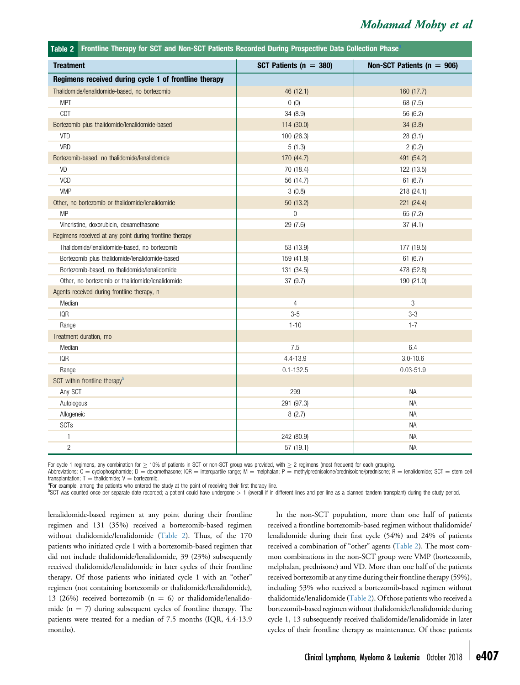<span id="page-6-0"></span>

| Frontline Therapy for SCT and Non-SCT Patients Recorded During Prospective Data Collection Phase<br>Table 2 |                            |                                |
|-------------------------------------------------------------------------------------------------------------|----------------------------|--------------------------------|
| <b>Treatment</b>                                                                                            | SCT Patients ( $n = 380$ ) | Non-SCT Patients ( $n = 906$ ) |
| Regimens received during cycle 1 of frontline therapy                                                       |                            |                                |
| Thalidomide/lenalidomide-based, no bortezomib                                                               | 46 (12.1)                  | 160 (17.7)                     |
| <b>MPT</b>                                                                                                  | 0(0)                       | 68 (7.5)                       |
| CDT                                                                                                         | 34 (8.9)                   | 56 (6.2)                       |
| Bortezomib plus thalidomide/lenalidomide-based                                                              | 114 (30.0)                 | 34(3.8)                        |
| VTD                                                                                                         | 100 (26.3)                 | 28(3.1)                        |
| VRD                                                                                                         | 5(1.3)                     | 2(0.2)                         |
| Bortezomib-based, no thalidomide/lenalidomide                                                               | 170 (44.7)                 | 491 (54.2)                     |
| VD                                                                                                          | 70 (18.4)                  | 122 (13.5)                     |
| VCD                                                                                                         | 56 (14.7)                  | 61(6.7)                        |
| <b>VMP</b>                                                                                                  | 3(0.8)                     | 218 (24.1)                     |
| Other, no bortezomib or thalidomide/lenalidomide                                                            | 50 (13.2)                  | 221 (24.4)                     |
| <b>MP</b>                                                                                                   | $\overline{0}$             | 65 (7.2)                       |
| Vincristine, doxorubicin, dexamethasone                                                                     | 29 (7.6)                   | 37(4.1)                        |
| Regimens received at any point during frontline therapy                                                     |                            |                                |
| Thalidomide/lenalidomide-based, no bortezomib                                                               | 53 (13.9)                  | 177 (19.5)                     |
| Bortezomib plus thalidomide/lenalidomide-based                                                              | 159 (41.8)                 | 61(6.7)                        |
| Bortezomib-based, no thalidomide/lenalidomide                                                               | 131 (34.5)                 | 478 (52.8)                     |
| Other, no bortezomib or thalidomide/lenalidomide                                                            | 37 (9.7)                   | 190 (21.0)                     |
| Agents received during frontline therapy, n                                                                 |                            |                                |
| Median                                                                                                      | 4                          | 3                              |
| IQR                                                                                                         | $3 - 5$                    | $3 - 3$                        |
| Range                                                                                                       | $1 - 10$                   | $1 - 7$                        |
| Treatment duration, mo                                                                                      |                            |                                |
| Median                                                                                                      | 7.5                        | 6.4                            |
| <b>IQR</b>                                                                                                  | 4.4-13.9                   | $3.0 - 10.6$                   |
| Range                                                                                                       | $0.1 - 132.5$              | $0.03 - 51.9$                  |
| SCT within frontline therapy <sup>b</sup>                                                                   |                            |                                |
| Any SCT                                                                                                     | 299                        | <b>NA</b>                      |
| Autologous                                                                                                  | 291 (97.3)                 | <b>NA</b>                      |
| Allogeneic                                                                                                  | 8(2.7)                     | <b>NA</b>                      |
| SCTs                                                                                                        |                            | <b>NA</b>                      |
| 1                                                                                                           | 242 (80.9)                 | <b>NA</b>                      |
| $\sqrt{2}$                                                                                                  | 57 (19.1)                  | <b>NA</b>                      |

For cycle 1 regimens, any combination for  $\geq$  10% of patients in SCT or non-SCT group was provided, with  $\geq$  2 regimens (most frequent) for each grouping.

Abbreviations: C = cyclophosphamide; D = dexamethasone; IQR = interquartile range; M = melphalan; P = methylprednisolone/prednisolone/prednisolone; R = lenalidomide; SCT = stem cell transplantation;  $T =$  thalidomide;  $V =$  bortezomib.

<sup>a</sup>For example, among the patients who entered the study at the point of receiving their first therapy line.

<sup>b</sup>SCT was counted once per separate date recorded; a patient could have undergone > 1 (overall if in different lines and per line as a planned tandem transplant) during the study period.

lenalidomide-based regimen at any point during their frontline regimen and 131 (35%) received a bortezomib-based regimen without thalidomide/lenalidomide (Table 2). Thus, of the 170 patients who initiated cycle 1 with a bortezomib-based regimen that did not include thalidomide/lenalidomide, 39 (23%) subsequently received thalidomide/lenalidomide in later cycles of their frontline therapy. Of those patients who initiated cycle 1 with an "other" regimen (not containing bortezomib or thalidomide/lenalidomide), 13 (26%) received bortezomib ( $n = 6$ ) or thalidomide/lenalidomide  $(n = 7)$  during subsequent cycles of frontline therapy. The patients were treated for a median of 7.5 months (IQR, 4.4-13.9 months).

In the non-SCT population, more than one half of patients received a frontline bortezomib-based regimen without thalidomide/ lenalidomide during their first cycle (54%) and 24% of patients received a combination of "other" agents (Table 2). The most common combinations in the non-SCT group were VMP (bortezomib, melphalan, prednisone) and VD. More than one half of the patients received bortezomib at any time during their frontline therapy (59%), including 53% who received a bortezomib-based regimen without thalidomide/lenalidomide (Table 2). Of those patients who received a bortezomib-based regimen without thalidomide/lenalidomide during cycle 1, 13 subsequently received thalidomide/lenalidomide in later cycles of their frontline therapy as maintenance. Of those patients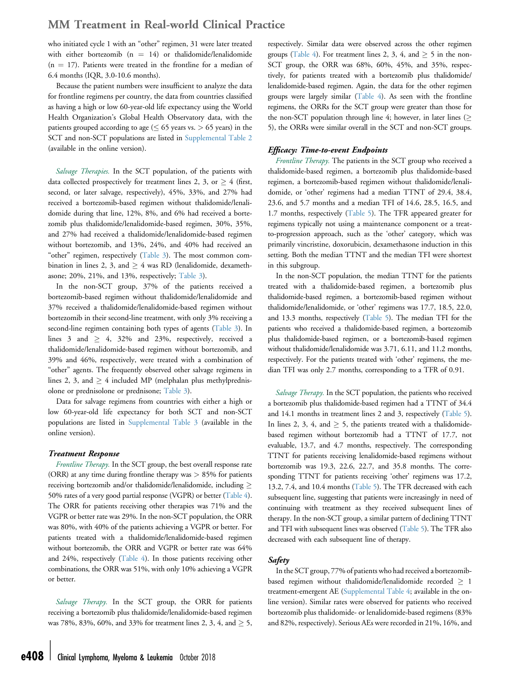who initiated cycle 1 with an "other" regimen, 31 were later treated with either bortezomib  $(n = 14)$  or thalidomide/lenalidomide  $(n = 17)$ . Patients were treated in the frontline for a median of 6.4 months (IQR, 3.0-10.6 months).

Because the patient numbers were insufficient to analyze the data for frontline regimens per country, the data from countries classified as having a high or low 60-year-old life expectancy using the World Health Organization's Global Health Observatory data, with the patients grouped according to age ( $\leq 65$  years vs. > 65 years) in the SCT and non-SCT populations are listed in [Supplemental Table 2](#page-16-0) (available in the online version).

Salvage Therapies. In the SCT population, of the patients with data collected prospectively for treatment lines 2, 3, or  $\geq$  4 (first, second, or later salvage, respectively), 45%, 33%, and 27% had received a bortezomib-based regimen without thalidomide/lenalidomide during that line, 12%, 8%, and 6% had received a bortezomib plus thalidomide/lenalidomide-based regimen, 30%, 35%, and 27% had received a thalidomide/lenalidomide-based regimen without bortezomib, and 13%, 24%, and 40% had received an "other" regimen, respectively [\(Table 3\)](#page-8-0). The most common combination in lines 2, 3, and  $\geq$  4 was RD (lenalidomide, dexamethasone; 20%, 21%, and 13%, respectively; [Table 3](#page-8-0)).

In the non-SCT group, 37% of the patients received a bortezomib-based regimen without thalidomide/lenalidomide and 37% received a thalidomide/lenalidomide-based regimen without bortezomib in their second-line treatment, with only 3% receiving a second-line regimen containing both types of agents ([Table 3](#page-8-0)). In lines 3 and  $\geq$  4, 32% and 23%, respectively, received a thalidomide/lenalidomide-based regimen without bortezomib, and 39% and 46%, respectively, were treated with a combination of "other" agents. The frequently observed other salvage regimens in lines 2, 3, and  $\geq$  4 included MP (melphalan plus methylprednisolone or prednisolone or prednisone; [Table 3](#page-8-0)).

Data for salvage regimens from countries with either a high or low 60-year-old life expectancy for both SCT and non-SCT populations are listed in [Supplemental Table 3](#page-17-0) (available in the online version).

#### Treatment Response

Frontline Therapy. In the SCT group, the best overall response rate (ORR) at any time during frontline therapy was  $> 85\%$  for patients receiving bortezomib and/or thalidomide/lenalidomide, including  $\geq$ 50% rates of a very good partial response (VGPR) or better [\(Table 4](#page-9-0)). The ORR for patients receiving other therapies was 71% and the VGPR or better rate was 29%. In the non-SCT population, the ORR was 80%, with 40% of the patients achieving a VGPR or better. For patients treated with a thalidomide/lenalidomide-based regimen without bortezomib, the ORR and VGPR or better rate was 64% and 24%, respectively [\(Table 4\)](#page-9-0). In those patients receiving other combinations, the ORR was 51%, with only 10% achieving a VGPR or better.

Salvage Therapy. In the SCT group, the ORR for patients receiving a bortezomib plus thalidomide/lenalidomide-based regimen was 78%, 83%, 60%, and 33% for treatment lines 2, 3, 4, and  $\geq$  5,

respectively. Similar data were observed across the other regimen groups [\(Table 4\)](#page-9-0). For treatment lines 2, 3, 4, and  $> 5$  in the non-SCT group, the ORR was 68%, 60%, 45%, and 35%, respectively, for patients treated with a bortezomib plus thalidomide/ lenalidomide-based regimen. Again, the data for the other regimen groups were largely similar ([Table 4\)](#page-9-0). As seen with the frontline regimens, the ORRs for the SCT group were greater than those for the non-SCT population through line 4; however, in later lines ( $\geq$ 5), the ORRs were similar overall in the SCT and non-SCT groups.

#### Efficacy: Time-to-event Endpoints

Frontline Therapy. The patients in the SCT group who received a thalidomide-based regimen, a bortezomib plus thalidomide-based regimen, a bortezomib-based regimen without thalidomide/lenalidomide, or 'other' regimens had a median TTNT of 29.4, 38.4, 23.6, and 5.7 months and a median TFI of 14.6, 28.5, 16.5, and 1.7 months, respectively [\(Table 5](#page-10-0)). The TFR appeared greater for regimens typically not using a maintenance component or a treatto-progression approach, such as the 'other' category, which was primarily vincristine, doxorubicin, dexamethasone induction in this setting. Both the median TTNT and the median TFI were shortest in this subgroup.

In the non-SCT population, the median TTNT for the patients treated with a thalidomide-based regimen, a bortezomib plus thalidomide-based regimen, a bortezomib-based regimen without thalidomide/lenalidomide, or 'other' regimens was 17.7, 18.5, 22.0, and 13.3 months, respectively ([Table 5](#page-10-0)). The median TFI for the patients who received a thalidomide-based regimen, a bortezomib plus thalidomide-based regimen, or a bortezomib-based regimen without thalidomide/lenalidomide was 3.71, 6.11, and 11.2 months, respectively. For the patients treated with 'other' regimens, the median TFI was only 2.7 months, corresponding to a TFR of 0.91.

Salvage Therapy. In the SCT population, the patients who received a bortezomib plus thalidomide-based regimen had a TTNT of 34.4 and 14.1 months in treatment lines 2 and 3, respectively ([Table 5](#page-10-0)). In lines 2, 3, 4, and  $\geq$  5, the patients treated with a thalidomidebased regimen without bortezomib had a TTNT of 17.7, not evaluable, 13.7, and 4.7 months, respectively. The corresponding TTNT for patients receiving lenalidomide-based regimens without bortezomib was 19.3, 22.6, 22.7, and 35.8 months. The corresponding TTNT for patients receiving 'other' regimens was 17.2, 13.2, 7.4, and 10.4 months ([Table 5\)](#page-10-0). The TFR decreased with each subsequent line, suggesting that patients were increasingly in need of continuing with treatment as they received subsequent lines of therapy. In the non-SCT group, a similar pattern of declining TTNT and TFI with subsequent lines was observed [\(Table 5\)](#page-10-0). The TFR also decreased with each subsequent line of therapy.

#### Safety

In the SCT group, 77% of patients who had received a bortezomibbased regimen without thalidomide/lenalidomide recorded  $\geq 1$ treatment-emergent AE [\(Supplemental Table 4](#page-18-0); available in the online version). Similar rates were observed for patients who received bortezomib plus thalidomide- or lenalidomide-based regimens (83% and 82%, respectively). Serious AEs were recorded in 21%, 16%, and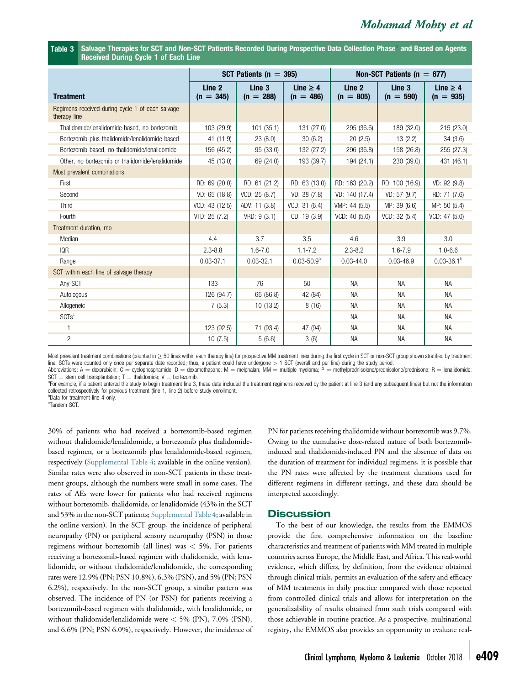<span id="page-8-0"></span>Table 3 Salvage Therapies for SCT and Non-SCT Patients Recorded During Prospective Data Collection Phase and Based on Agents Received During Cycle 1 of Each Line

|                                                                  |                                  | SCT Patients ( $n = 395$ ) |                              | Non-SCT Patients ( $n = 677$ ) |                       |                              |  |
|------------------------------------------------------------------|----------------------------------|----------------------------|------------------------------|--------------------------------|-----------------------|------------------------------|--|
| <b>Treatment</b>                                                 | Line <sub>2</sub><br>$(n = 345)$ | Line 3<br>$(n = 288)$      | Line $\geq 4$<br>$(n = 486)$ | Line 2<br>$(n = 805)$          | Line 3<br>$(n = 590)$ | Line $\geq 4$<br>$(n = 935)$ |  |
| Regimens received during cycle 1 of each salvage<br>therapy line |                                  |                            |                              |                                |                       |                              |  |
| Thalidomide/lenalidomide-based, no bortezomib                    | 103 (29.9)                       | 101(35.1)                  | 131 (27.0)                   | 295 (36.6)                     | 189 (32.0)            | 215 (23.0)                   |  |
| Bortezomib plus thalidomide/lenalidomide-based                   | 41 (11.9)                        | 23(8.0)                    | 30(6.2)                      | 20(2.5)                        | 13(2.2)               | 34(3.6)                      |  |
| Bortezomib-based, no thalidomide/lenalidomide                    | 156 (45.2)                       | 95 (33.0)                  | 132 (27.2)                   | 296 (36.8)                     | 158 (26.8)            | 255 (27.3)                   |  |
| Other, no bortezomib or thalidomide/lenalidomide                 | 45 (13.0)                        | 69 (24.0)                  | 193 (39.7)                   | 194 (24.1)                     | 230 (39.0)            | 431 (46.1)                   |  |
| Most prevalent combinations                                      |                                  |                            |                              |                                |                       |                              |  |
| First                                                            | RD: 69 (20.0)                    | RD: 61 (21.2)              | RD: 63 (13.0)                | RD: 163 (20.2)                 | RD: 100 (16.9)        | VD: 92(9.8)                  |  |
| Second                                                           | VD: 65 (18.8)                    | VCD: 25 (8.7)              | VD: 38 (7.8)                 | VD: 140 (17.4)                 | VD: 57(9.7)           | RD: 71 (7.6)                 |  |
| Third                                                            | VCD: 43 (12.5)                   | ADV: 11 (3.8)              | VCD: 31 (6.4)                | VMP: 44 (5.5)                  | MP: 39 (6.6)          | MP: 50 (5.4)                 |  |
| Fourth                                                           | VTD: 25 (7.2)                    | VRD: 9(3.1)                | CD: 19 (3.9)                 | VCD: 40 (5.0)                  | VCD: 32 (5.4)         | VCD: 47(5.0)                 |  |
| Treatment duration, mo                                           |                                  |                            |                              |                                |                       |                              |  |
| Median                                                           | 4.4                              | 3.7                        | 3.5                          | 4.6                            | 3.9                   | 3.0                          |  |
| <b>IQR</b>                                                       | $2.3 - 8.8$                      | $1.6 - 7.0$                | $1.1 - 7.2$                  | $2.3 - 8.2$                    | $1.6 - 7.9$           | $1.0 - 6.6$                  |  |
| Range                                                            | $0.03 - 37.1$                    | $0.03 - 32.1$              | $0.03 - 50.9b$               | $0.03 - 44.0$                  | $0.03 - 46.9$         | $0.03 - 36.1b$               |  |
| SCT within each line of salvage therapy                          |                                  |                            |                              |                                |                       |                              |  |
| Any SCT                                                          | 133                              | 76                         | 50                           | <b>NA</b>                      | <b>NA</b>             | <b>NA</b>                    |  |
| Autologous                                                       | 126 (94.7)                       | 66 (86.8)                  | 42 (84)                      | NA.                            | <b>NA</b>             | <b>NA</b>                    |  |
| Allogeneic                                                       | 7(5.3)                           | 10(13.2)                   | 8(16)                        | <b>NA</b>                      | <b>NA</b>             | <b>NA</b>                    |  |
| SCTs <sup>c</sup>                                                |                                  |                            |                              | NА                             | <b>NA</b>             | <b>NA</b>                    |  |
| 1                                                                | 123 (92.5)                       | 71 (93.4)                  | 47 (94)                      | <b>NA</b>                      | <b>NA</b>             | <b>NA</b>                    |  |
| $\overline{c}$                                                   | 10(7.5)                          | 5(6.6)                     | 3(6)                         | <b>NA</b>                      | <b>NA</b>             | <b>NA</b>                    |  |

Most prevalent treatment combinations (counted in  $\geq$  50 lines within each therapy line) for prospective MM treatment lines during the first cycle in SCT or non-SCT group shown stratified by treatment line; SCTs were counted only once per separate date recorded; thus, a patient could have undergone > 1 SCT (overall and per line) during the study period. Abbreviations: A = doxorubicin; C = cyclophosphamide; D = dexamethasone; M = melphalan; MM = multiple myeloma; P = methylprednisolone/prednisolone/prednisolone/prednisolone; R = lenalidomide;

 $SCT =$  stem cell transplantation; T = thalidomide; V = bortezomib.

<sup>a</sup>For example, if a patient entered the study to begin treatment line 3, these data included the treatment regimens received by the patient at line 3 (and any subsequent lines) but not the information collected retrospectively for previous treatment (line 1, line 2) before study enrollment. b Data for treatment line 4 only.

<sup>c</sup>Tandem SCT.

30% of patients who had received a bortezomib-based regimen without thalidomide/lenalidomide, a bortezomib plus thalidomidebased regimen, or a bortezomib plus lenalidomide-based regimen, respectively [\(Supplemental Table 4;](#page-18-0) available in the online version). Similar rates were also observed in non-SCT patients in these treatment groups, although the numbers were small in some cases. The rates of AEs were lower for patients who had received regimens without bortezomib, thalidomide, or lenalidomide (43% in the SCT and 53% in the non-SCT patients; [Supplemental Table 4;](#page-18-0) available in the online version). In the SCT group, the incidence of peripheral neuropathy (PN) or peripheral sensory neuropathy (PSN) in those regimens without bortezomib (all lines) was < 5%. For patients receiving a bortezomib-based regimen with thalidomide, with lenalidomide, or without thalidomide/lenalidomide, the corresponding rates were 12.9% (PN; PSN 10.8%), 6.3% (PSN), and 5% (PN; PSN 6.2%), respectively. In the non-SCT group, a similar pattern was observed. The incidence of PN (or PSN) for patients receiving a bortezomib-based regimen with thalidomide, with lenalidomide, or without thalidomide/lenalidomide were < 5% (PN), 7.0% (PSN), and 6.6% (PN; PSN 6.0%), respectively. However, the incidence of PN for patients receiving thalidomide without bortezomib was 9.7%. Owing to the cumulative dose-related nature of both bortezomibinduced and thalidomide-induced PN and the absence of data on the duration of treatment for individual regimens, it is possible that the PN rates were affected by the treatment durations used for different regimens in different settings, and these data should be interpreted accordingly.

### **Discussion**

To the best of our knowledge, the results from the EMMOS provide the first comprehensive information on the baseline characteristics and treatment of patients with MM treated in multiple countries across Europe, the Middle East, and Africa. This real-world evidence, which differs, by definition, from the evidence obtained through clinical trials, permits an evaluation of the safety and efficacy of MM treatments in daily practice compared with those reported from controlled clinical trials and allows for interpretation on the generalizability of results obtained from such trials compared with those achievable in routine practice. As a prospective, multinational registry, the EMMOS also provides an opportunity to evaluate real-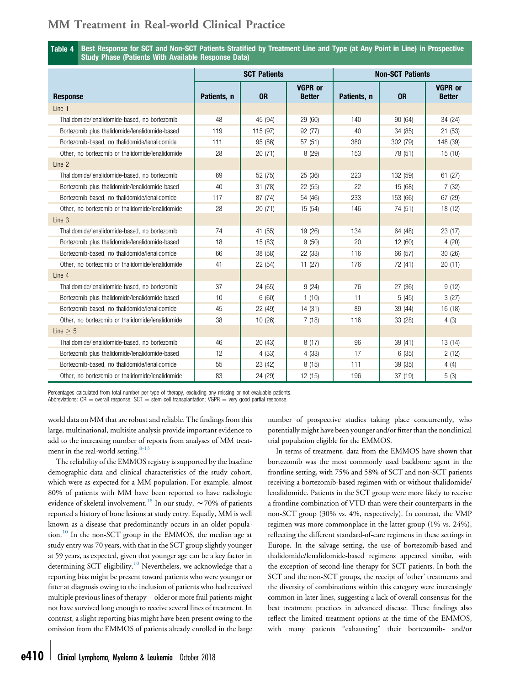<span id="page-9-0"></span>Table 4 Best Response for SCT and Non-SCT Patients Stratified by Treatment Line and Type (at Any Point in Line) in Prospective Study Phase (Patients With Available Response Data)

|                                                  |             | <b>SCT Patients</b> |                                 | <b>Non-SCT Patients</b> |           |                                 |  |
|--------------------------------------------------|-------------|---------------------|---------------------------------|-------------------------|-----------|---------------------------------|--|
| <b>Response</b>                                  | Patients, n | <b>OR</b>           | <b>VGPR or</b><br><b>Better</b> | Patients, n             | <b>OR</b> | <b>VGPR or</b><br><b>Better</b> |  |
| Line 1                                           |             |                     |                                 |                         |           |                                 |  |
| Thalidomide/lenalidomide-based, no bortezomib    | 48          | 45 (94)             | 29 (60)                         | 140                     | 90 (64)   | 34 (24)                         |  |
| Bortezomib plus thalidomide/lenalidomide-based   | 119         | 115 (97)            | 92 (77)                         | 40                      | 34 (85)   | 21(53)                          |  |
| Bortezomib-based, no thalidomide/lenalidomide    | 111         | 95 (86)             | 57 (51)                         | 380                     | 302 (79)  | 148 (39)                        |  |
| Other, no bortezomib or thalidomide/lenalidomide | 28          | 20(71)              | 8(29)                           | 153                     | 78 (51)   | 15 (10)                         |  |
| Line 2                                           |             |                     |                                 |                         |           |                                 |  |
| Thalidomide/lenalidomide-based, no bortezomib    | 69          | 52 (75)             | 25 (36)                         | 223                     | 132 (59)  | 61 (27)                         |  |
| Bortezomib plus thalidomide/lenalidomide-based   | 40          | 31(78)              | 22 (55)                         | 22                      | 15 (68)   | 7(32)                           |  |
| Bortezomib-based, no thalidomide/lenalidomide    | 117         | 87 (74)             | 54 (46)                         | 233                     | 153 (66)  | 67 (29)                         |  |
| Other, no bortezomib or thalidomide/lenalidomide | 28          | 20(71)              | 15 (54)                         | 146                     | 74 (51)   | 18 (12)                         |  |
| Line 3                                           |             |                     |                                 |                         |           |                                 |  |
| Thalidomide/lenalidomide-based, no bortezomib    | 74          | 41 (55)             | 19 (26)                         | 134                     | 64 (48)   | 23(17)                          |  |
| Bortezomib plus thalidomide/lenalidomide-based   | 18          | 15 (83)             | 9(50)                           | 20                      | 12 (60)   | 4(20)                           |  |
| Bortezomib-based, no thalidomide/lenalidomide    | 66          | 38 (58)             | 22 (33)                         | 116                     | 66 (57)   | 30 (26)                         |  |
| Other, no bortezomib or thalidomide/lenalidomide | 41          | 22 (54)             | 11(27)                          | 176                     | 72 (41)   | 20(11)                          |  |
| Line 4                                           |             |                     |                                 |                         |           |                                 |  |
| Thalidomide/lenalidomide-based, no bortezomib    | 37          | 24 (65)             | 9(24)                           | 76                      | 27 (36)   | 9(12)                           |  |
| Bortezomib plus thalidomide/lenalidomide-based   | 10          | 6(60)               | 1(10)                           | 11                      | 5(45)     | 3(27)                           |  |
| Bortezomib-based, no thalidomide/lenalidomide    | 45          | 22 (49)             | 14(31)                          | 89                      | 39 (44)   | 16 (18)                         |  |
| Other, no bortezomib or thalidomide/lenalidomide | 38          | 10(26)              | 7(18)                           | 116                     | 33 (28)   | 4(3)                            |  |
| Line $> 5$                                       |             |                     |                                 |                         |           |                                 |  |
| Thalidomide/lenalidomide-based, no bortezomib    | 46          | 20(43)              | 8(17)                           | 96                      | 39 (41)   | 13 (14)                         |  |
| Bortezomib plus thalidomide/lenalidomide-based   | 12          | 4(33)               | 4(33)                           | 17                      | 6(35)     | 2(12)                           |  |
| Bortezomib-based, no thalidomide/lenalidomide    | 55          | 23 (42)             | 8(15)                           | 111                     | 39 (35)   | 4(4)                            |  |
| Other, no bortezomib or thalidomide/lenalidomide | 83          | 24 (29)             | 12 (15)                         | 196                     | 37 (19)   | 5(3)                            |  |

Percentages calculated from total number per type of therapy, excluding any missing or not evaluable patients.

Abbreviations:  $OR =$  overall response;  $SCT =$  stem cell transplantation;  $VGPR =$  very good partial response.

world data on MM that are robust and reliable. The findings from this large, multinational, multisite analysis provide important evidence to add to the increasing number of reports from analyses of MM treatment in the real-world setting. $8-13$ 

The reliability of the EMMOS registry is supported by the baseline demographic data and clinical characteristics of the study cohort, which were as expected for a MM population. For example, almost 80% of patients with MM have been reported to have radiologic evidence of skeletal involvement.<sup>[18](#page-13-0)</sup> In our study,  $\sim$  70% of patients reported a history of bone lesions at study entry. Equally, MM is well known as a disease that predominantly occurs in an older popula-tion.<sup>[10](#page-13-0)</sup> In the non-SCT group in the EMMOS, the median age at study entry was 70 years, with that in the SCT group slightly younger at 59 years, as expected, given that younger age can be a key factor in determining SCT eligibility.<sup>[10](#page-13-0)</sup> Nevertheless, we acknowledge that a reporting bias might be present toward patients who were younger or fitter at diagnosis owing to the inclusion of patients who had received multiple previous lines of therapy—older or more frail patients might not have survived long enough to receive several lines of treatment. In contrast, a slight reporting bias might have been present owing to the omission from the EMMOS of patients already enrolled in the large number of prospective studies taking place concurrently, who potentially might have been younger and/or fitter than the nonclinical trial population eligible for the EMMOS.

In terms of treatment, data from the EMMOS have shown that bortezomib was the most commonly used backbone agent in the frontline setting, with 75% and 58% of SCT and non-SCT patients receiving a bortezomib-based regimen with or without thalidomide/ lenalidomide. Patients in the SCT group were more likely to receive a frontline combination of VTD than were their counterparts in the non-SCT group (30% vs. 4%, respectively). In contrast, the VMP regimen was more commonplace in the latter group (1% vs. 24%), reflecting the different standard-of-care regimens in these settings in Europe. In the salvage setting, the use of bortezomib-based and thalidomide/lenalidomide-based regimens appeared similar, with the exception of second-line therapy for SCT patients. In both the SCT and the non-SCT groups, the receipt of 'other' treatments and the diversity of combinations within this category were increasingly common in later lines, suggesting a lack of overall consensus for the best treatment practices in advanced disease. These findings also reflect the limited treatment options at the time of the EMMOS, with many patients "exhausting" their bortezomib- and/or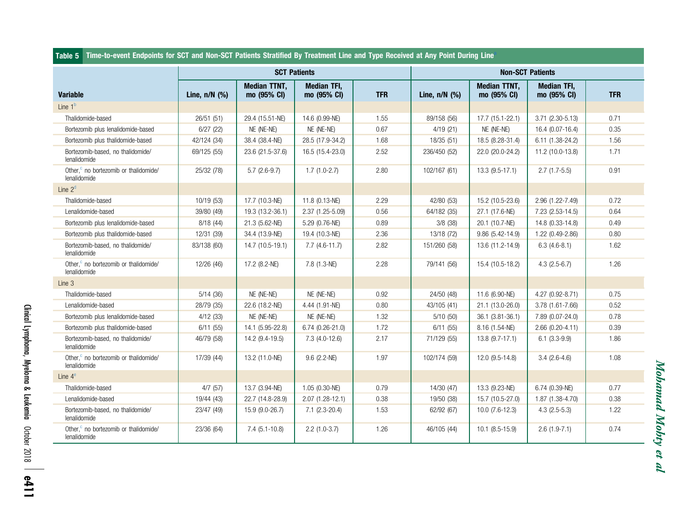#### <span id="page-10-0"></span>Table 5 Time-to-event Endpoints for SCT and Non-SCT Patients Stratified By Treatment Line and Type Received at Any Point During Line[a](#page-11-0)

|                                                                   |                    | <b>SCT Patients</b>                |                                   |            |                 | <b>Non-SCT Patients</b>            |                                   |            |
|-------------------------------------------------------------------|--------------------|------------------------------------|-----------------------------------|------------|-----------------|------------------------------------|-----------------------------------|------------|
| <b>Variable</b>                                                   | Line, $n/N$ $(\%)$ | <b>Median TTNT.</b><br>mo (95% CI) | <b>Median TFI.</b><br>mo (95% CI) | <b>TFR</b> | Line, $n/N$ (%) | <b>Median TTNT.</b><br>mo (95% CI) | <b>Median TFI.</b><br>mo (95% CI) | <b>TFR</b> |
| Line $1b$                                                         |                    |                                    |                                   |            |                 |                                    |                                   |            |
| Thalidomide-based                                                 | 26/51 (51)         | 29.4 (15.51-NE)                    | 14.6 (0.99-NE)                    | 1.55       | 89/158 (56)     | 17.7 (15.1-22.1)                   | $3.71(2.30-5.13)$                 | 0.71       |
| Bortezomib plus lenalidomide-based                                | 6/27(22)           | NE (NE-NE)                         | NE (NE-NE)                        | 0.67       | 4/19(21)        | NE (NE-NE)                         | 16.4 (0.07-16.4)                  | 0.35       |
| Bortezomib plus thalidomide-based                                 | 42/124 (34)        | 38.4 (38.4-NE)                     | 28.5 (17.9-34.2)                  | 1.68       | 18/35 (51)      | 18.5 (8.28-31.4)                   | 6.11 (1.38-24.2)                  | 1.56       |
| Bortezomib-based, no thalidomide/<br>lenalidomide                 | 69/125 (55)        | 23.6 (21.5-37.6)                   | 16.5 (15.4-23.0)                  | 2.52       | 236/450 (52)    | 22.0 (20.0-24.2)                   | 11.2 (10.0-13.8)                  | 1.71       |
| Other. <sup>c</sup> no bortezomib or thalidomide/<br>lenalidomide | 25/32 (78)         | $5.7(2.6-9.7)$                     | $1.7(1.0-2.7)$                    | 2.80       | 102/167 (61)    | $13.3(9.5-17.1)$                   | $2.7(1.7-5.5)$                    | 0.91       |
| Line $2d$                                                         |                    |                                    |                                   |            |                 |                                    |                                   |            |
| Thalidomide-based                                                 | 10/19 (53)         | 17.7 (10.3-NE)                     | 11.8 (0.13-NE)                    | 2.29       | 42/80 (53)      | 15.2 (10.5-23.6)                   | 2.96 (1.22-7.49)                  | 0.72       |
| Lenalidomide-based                                                | 39/80 (49)         | 19.3 (13.2-36.1)                   | 2.37 (1.25-5.09)                  | 0.56       | 64/182 (35)     | 27.1 (17.6-NE)                     | 7.23 (2.53-14.5)                  | 0.64       |
| Bortezomib plus lenalidomide-based                                | 8/18(44)           | 21.3 (5.62-NE)                     | 5.29 (0.76-NE)                    | 0.89       | 3/8(38)         | 20.1 (10.7-NE)                     | 14.8 (0.33-14.8)                  | 0.49       |
| Bortezomib plus thalidomide-based                                 | 12/31 (39)         | 34.4 (13.9-NE)                     | 19.4 (10.3-NE)                    | 2.36       | 13/18 (72)      | $9.86(5.42 - 14.9)$                | 1.22 (0.49-2.86)                  | 0.80       |
| Bortezomib-based, no thalidomide/<br>lenalidomide                 | 83/138 (60)        | 14.7 (10.5-19.1)                   | $7.7(4.6-11.7)$                   | 2.82       | 151/260 (58)    | 13.6 (11.2-14.9)                   | $6.3(4.6-8.1)$                    | 1.62       |
| Other, <sup>c</sup> no bortezomib or thalidomide/<br>lenalidomide | 12/26 (46)         | 17.2 (8.2-NE)                      | 7.8 (1.3-NE)                      | 2.28       | 79/141 (56)     | 15.4 (10.5-18.2)                   | $4.3(2.5-6.7)$                    | 1.26       |
| Line 3                                                            |                    |                                    |                                   |            |                 |                                    |                                   |            |
| Thalidomide-based                                                 | 5/14(36)           | NE (NE-NE)                         | NE (NE-NE)                        | 0.92       | 24/50 (48)      | 11.6 (6.90-NE)                     | 4.27 (0.92-8.71)                  | 0.75       |
| Lenalidomide-based                                                | 28/79 (35)         | 22.6 (18.2-NE)                     | 4.44 (1.91-NE)                    | 0.80       | 43/105 (41)     | 21.1 (13.0-26.0)                   | 3.78 (1.61-7.66)                  | 0.52       |
| Bortezomib plus lenalidomide-based                                | 4/12(33)           | NE (NE-NE)                         | NE (NE-NE)                        | 1.32       | 5/10(50)        | 36.1 (3.81-36.1)                   | 7.89 (0.07-24.0)                  | 0.78       |
| Bortezomib plus thalidomide-based                                 | 6/11(55)           | 14.1 (5.95-22.8)                   | $6.74(0.26-21.0)$                 | 1.72       | 6/11(55)        | 8.16 (1.54-NE)                     | $2.66(0.20 - 4.11)$               | 0.39       |
| Bortezomib-based, no thalidomide/<br>lenalidomide                 | 46/79 (58)         | 14.2 (9.4-19.5)                    | $7.3(4.0-12.6)$                   | 2.17       | 71/129 (55)     | $13.8(9.7-17.1)$                   | $6.1(3.3-9.9)$                    | 1.86       |
| Other, <sup>c</sup> no bortezomib or thalidomide/<br>lenalidomide | 17/39 (44)         | 13.2 (11.0-NE)                     | $9.6$ (2.2-NE)                    | 1.97       | 102/174 (59)    | 12.0 (9.5-14.8)                    | $3.4(2.6-4.6)$                    | 1.08       |
| Line $4^e$                                                        |                    |                                    |                                   |            |                 |                                    |                                   |            |
| Thalidomide-based                                                 | 4/7(57)            | 13.7 (3.94-NE)                     | 1.05 (0.30-NE)                    | 0.79       | 14/30 (47)      | 13.3 (9.23-NE)                     | 6.74 (0.39-NE)                    | 0.77       |
| Lenalidomide-based                                                | 19/44 (43)         | 22.7 (14.8-28.9)                   | $2.07(1.28-12.1)$                 | 0.38       | 19/50 (38)      | 15.7 (10.5-27.0)                   | 1.87 (1.38-4.70)                  | 0.38       |
| Bortezomib-based, no thalidomide/<br>lenalidomide                 | 23/47 (49)         | 15.9 (9.0-26.7)                    | $7.1(2.3-20.4)$                   | 1.53       | 62/92 (67)      | $10.0(7.6-12.3)$                   | $4.3$ (2.5-5.3)                   | 1.22       |
| Other, <sup>c</sup> no bortezomib or thalidomide/<br>lenalidomide | 23/36 (64)         | $7.4(5.1-10.8)$                    | $2.2$ (1.0-3.7)                   | 1.26       | 46/105 (44)     | $10.1 (8.5 - 15.9)$                | $2.6(1.9-7.1)$                    | 0.74       |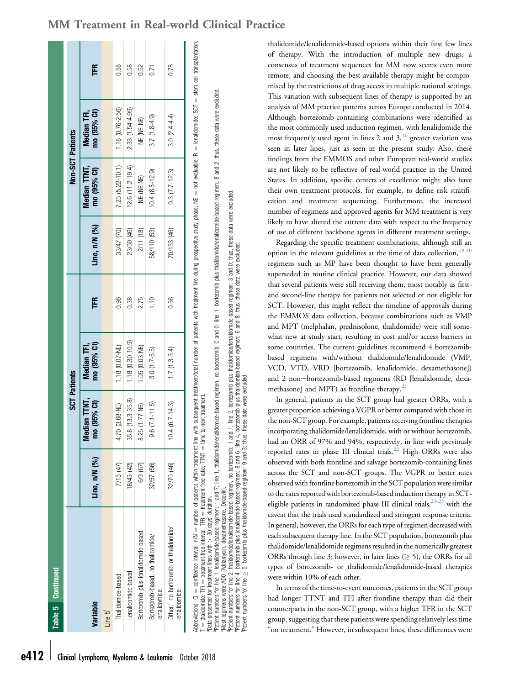|                                                                                                                                                                                                                               |               |                             | <b>SCT Patients</b>        |      |               | Non-SCT Patients            |                            |      |
|-------------------------------------------------------------------------------------------------------------------------------------------------------------------------------------------------------------------------------|---------------|-----------------------------|----------------------------|------|---------------|-----------------------------|----------------------------|------|
| Variable                                                                                                                                                                                                                      | Line, n/N (%) | Median TTNT,<br>mo (95% CI) | mo (95% CI)<br>Median TFI, | Ë    | Line, n/N (%) | Median TTNT,<br>mo (95% CI) | mo (95% CI)<br>Median TFI, | FR   |
| Line 5 <sup>1</sup>                                                                                                                                                                                                           |               |                             |                            |      |               |                             |                            |      |
| Thalidomide-based                                                                                                                                                                                                             | 7/15 (47)     | $(3.68 - NE)$<br>4.70       | 1.18 (0.07-NE)             | 0.96 | 33/47 (70)    | 7.23 (5.22-10.1)            | 1.18 (0.76-2.56)           | 0.58 |
| Lenalidomide-based                                                                                                                                                                                                            | 8/43 (42)     | 35.8 (13.3-35.8)            | $1.18(0.30 - 10.9)$        | 0.38 | 23/50 (46)    | 12.6 (11.2-19.4)            | 2.33 (1.54-4.99)           | 0.58 |
| Bortezomib plus lenalidomide-based                                                                                                                                                                                            | 6/9 (67)      | 8.25 (1.77-NE)              | 1.05 (0.03-NE)             | 2.75 | 2/11 (18)     | NE (NE-NE)                  | NE ME-NE)                  | 0.52 |
| Bortezomib-based, no thalidomide/<br>lenalidomide                                                                                                                                                                             | 32/57 (56)    | $9.6(7.1 - 1.5)$            | $3.0(1.7-5.5)$             | 1.10 | 58/110 (53)   | $10.4(8.5 - 12.9)$          | $3.7(1.8-4.9)$             | 0.71 |
| Other, no bortezomib or thalidomide/<br>lenalidomide                                                                                                                                                                          | 32/70 (46)    | $(6.7 - 14.3)$<br>10.4      | $1.7(1.3-5.4)$             | 0.56 | 70/153 (46)   | $9.3 (7.7 - 12.3)$          | $3.0(2.4 - 4.4)$           | 0.78 |
| Abbreviations: CI = confidence interval; n/N = number of patients within teatment find subsequent treatment/total number of patients with treatment line during prospective study phase; N = mot evaluable; R = lenalidomide; |               |                             |                            |      |               |                             |                            |      |

treatment-free ratio: TTNT = time to next treatment time to next treatment. treatment-free ratio; TTNT Data presented for treatment lines with  $> 30$  days' duration.  $\overline{HR} = 1$  treatment-free interval; TFR = treatment-free interval:  $=$  thalidomide; TFI  $T = \text{traildomide};$  TFI  $\vdash$ 

"Data presented for treatment lines with > 30 days' duration.<br>"Patient numbers for line 1, lenalidomide-based regimen: 1 and 7, line 1, thalidomide/lenalide. Day on the scould on the secular memory of the secular memory of Patient numbers for line 1, lenalidomide-based regimen: 1 and 7; line 1, thaildomide/lenalidomide-based public of note 2010; the 1, bortezomib plus thaildomide-based regimen: 8 and 2; thus, these data were excluded

regimen: 3 and 0; thus, these data were excluded. "Patient numbers for line 2, thalidomide/lenalidomide-based regimen, no bortezomib: 1 and 1; line 2, bortezomib plus thalidomide/hasindimide/based regimen: 3 and 0; thus, these data were excluded.<br>"Patient numbers for lin 6 and 8; thus, these data were excluded. bortezomib plus thalidomide/lenalidomide-based plus thalidomide-based regimen: 1; line  $2$ , line 4, bortezomib r ratent numbers on nine i , tenanomine-vasser regiment name ; inter i , intanomine/tenano<br>"Patient regimens were ine 2, thatforming, desaintednessed regimen, no bortezomib: 1 and 1<br>"Patient numbers for line 2, thatformin

bortezomib plus thalidomide-based regimen: 9 and 3; thus, these data were excluded

thalidomide/lenalidomide-based options within their first few lines of therapy. With the introduction of multiple new drugs, a consensus of treatment sequences for MM now seems even more remote, and choosing the best available therapy might be compromised by the restrictions of drug access in multiple national settings. This variation with subsequent lines of therapy is supported by an analysis of MM practice patterns across Europe conducted in 2014. Although bortezomib-containing combinations were identified as the most commonly used induction regimen, with lenalidomide the most frequently used agent in lines 2 and  $3<sup>10</sup>$ , greater variation was seen in later lines, just as seen in the present study. Also, these findings from the EMMOS and other European real-world studies are not likely to be reflective of real-world practice in the United States. In addition, specific centers of excellence might also have their own treatment protocols, for example, to define risk stratification and treatment sequencing. Furthermore, the increased number of regimens and approved agents for MM treatment is very likely to have altered the current data with respect to the frequency of use of different backbone agents in different treatment settings.

Regarding the specific treatment combinations, although still an option in the relevant guidelines at the time of data collection, $19,20$ regimens such as MP have been thought to have been generally superseded in routine clinical practice. However, our data showed that several patients were still receiving them, most notably as firstand second-line therapy for patients not selected or not eligible for SCT. However, this might reflect the timeline of approvals during the EMMOS data collection, because combinations such as VMP and MPT (melphalan, prednisolone, thalidomide) were still somewhat new at study start, resulting in cost and/or access barriers in some countries. The current guidelines recommend 4 bortezomibbased regimens with/without thalidomide/lenalidomide (VMP, VCD, VTD, VRD [bortezomib, lenalidomide, dexamethasone]) and 2 non-bortezomib-based regimens (RD [lenalidomide, dexamethasone] and MPT) as frontline therapy. $2<sup>1</sup>$ 

In general, patients in the SCT group had greater ORRs, with a greater proportion achieving a VGPR or better compared with those in the non-SCT group. For example, patients receiving frontline therapies incorporating thalidomide/lenalidomide, with or without bortezomib, had an ORR of 97% and 94%, respectively, in line with previously reported rates in phase III clinical trials.<sup>22</sup> High ORRs were also observed with both frontline and salvage bortezomib-containing lines across the SCT and non-SCT groups. The VGPR or better rates observed with frontline bortezomib in the SCT population were similar to the rates reported with bortezomib-based induction therapy in SCTeligible patients in randomized phase III clinical trials,  $23-25$  with the caveat that the trials used standardized and stringent response criteria. In general, however, the ORRs for each type of regimen decreased with each subsequent therapy line. In the SCT population, bortezomib plus thalidomide/lenalidomide regimens resulted in the numerically greatest ORRs through line 3; however, in later lines ( $\geq$  5), the ORRs for all types of bortezomib- or thalidomide/lenalidomide-based therapies were within 10% of each other.

In terms of the time-to-event outcomes, patients in the SCT group had longer TTNT and TFI after frontline therapy than did their counterparts in the non-SCT group, with a higher TFR in the SCT group, suggesting that these patients were spending relatively less time "on treatment." However, in subsequent lines, these differences were

# <span id="page-11-0"></span>MM Treatment in Real-world Clinical Practice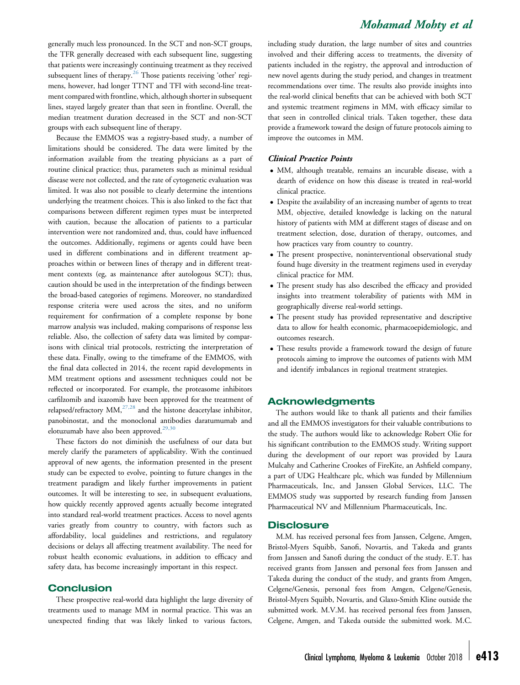generally much less pronounced. In the SCT and non-SCT groups, the TFR generally decreased with each subsequent line, suggesting that patients were increasingly continuing treatment as they received subsequent lines of therapy.<sup>[26](#page-13-0)</sup> Those patients receiving 'other' regimens, however, had longer TTNT and TFI with second-line treatment compared with frontline, which, although shorter in subsequent lines, stayed largely greater than that seen in frontline. Overall, the median treatment duration decreased in the SCT and non-SCT groups with each subsequent line of therapy.

Because the EMMOS was a registry-based study, a number of limitations should be considered. The data were limited by the information available from the treating physicians as a part of routine clinical practice; thus, parameters such as minimal residual disease were not collected, and the rate of cytogenetic evaluation was limited. It was also not possible to clearly determine the intentions underlying the treatment choices. This is also linked to the fact that comparisons between different regimen types must be interpreted with caution, because the allocation of patients to a particular intervention were not randomized and, thus, could have influenced the outcomes. Additionally, regimens or agents could have been used in different combinations and in different treatment approaches within or between lines of therapy and in different treatment contexts (eg, as maintenance after autologous SCT); thus, caution should be used in the interpretation of the findings between the broad-based categories of regimens. Moreover, no standardized response criteria were used across the sites, and no uniform requirement for confirmation of a complete response by bone marrow analysis was included, making comparisons of response less reliable. Also, the collection of safety data was limited by comparisons with clinical trial protocols, restricting the interpretation of these data. Finally, owing to the timeframe of the EMMOS, with the final data collected in 2014, the recent rapid developments in MM treatment options and assessment techniques could not be reflected or incorporated. For example, the proteasome inhibitors carfilzomib and ixazomib have been approved for the treatment of relapsed/refractory MM,<sup>[27,28](#page-13-0)</sup> and the histone deacetylase inhibitor, panobinostat, and the monoclonal antibodies daratumumab and elotuzumab have also been approved.<sup>[29,30](#page-13-0)</sup>

These factors do not diminish the usefulness of our data but merely clarify the parameters of applicability. With the continued approval of new agents, the information presented in the present study can be expected to evolve, pointing to future changes in the treatment paradigm and likely further improvements in patient outcomes. It will be interesting to see, in subsequent evaluations, how quickly recently approved agents actually become integrated into standard real-world treatment practices. Access to novel agents varies greatly from country to country, with factors such as affordability, local guidelines and restrictions, and regulatory decisions or delays all affecting treatment availability. The need for robust health economic evaluations, in addition to efficacy and safety data, has become increasingly important in this respect.

#### **Conclusion**

These prospective real-world data highlight the large diversity of treatments used to manage MM in normal practice. This was an unexpected finding that was likely linked to various factors,

including study duration, the large number of sites and countries involved and their differing access to treatments, the diversity of patients included in the registry, the approval and introduction of new novel agents during the study period, and changes in treatment recommendations over time. The results also provide insights into the real-world clinical benefits that can be achieved with both SCT and systemic treatment regimens in MM, with efficacy similar to that seen in controlled clinical trials. Taken together, these data provide a framework toward the design of future protocols aiming to improve the outcomes in MM.

#### Clinical Practice Points

- MM, although treatable, remains an incurable disease, with a dearth of evidence on how this disease is treated in real-world clinical practice.
- Despite the availability of an increasing number of agents to treat MM, objective, detailed knowledge is lacking on the natural history of patients with MM at different stages of disease and on treatment selection, dose, duration of therapy, outcomes, and how practices vary from country to country.
- The present prospective, noninterventional observational study found huge diversity in the treatment regimens used in everyday clinical practice for MM.
- The present study has also described the efficacy and provided insights into treatment tolerability of patients with MM in geographically diverse real-world settings.
- The present study has provided representative and descriptive data to allow for health economic, pharmacoepidemiologic, and outcomes research.
- These results provide a framework toward the design of future protocols aiming to improve the outcomes of patients with MM and identify imbalances in regional treatment strategies.

### Acknowledgments

The authors would like to thank all patients and their families and all the EMMOS investigators for their valuable contributions to the study. The authors would like to acknowledge Robert Olie for his significant contribution to the EMMOS study. Writing support during the development of our report was provided by Laura Mulcahy and Catherine Crookes of FireKite, an Ashfield company, a part of UDG Healthcare plc, which was funded by Millennium Pharmaceuticals, Inc, and Janssen Global Services, LLC. The EMMOS study was supported by research funding from Janssen Pharmaceutical NV and Millennium Pharmaceuticals, Inc.

#### **Disclosure**

M.M. has received personal fees from Janssen, Celgene, Amgen, Bristol-Myers Squibb, Sanofi, Novartis, and Takeda and grants from Janssen and Sanofi during the conduct of the study. E.T. has received grants from Janssen and personal fees from Janssen and Takeda during the conduct of the study, and grants from Amgen, Celgene/Genesis, personal fees from Amgen, Celgene/Genesis, Bristol-Myers Squibb, Novartis, and Glaxo-Smith Kline outside the submitted work. M.V.M. has received personal fees from Janssen, Celgene, Amgen, and Takeda outside the submitted work. M.C.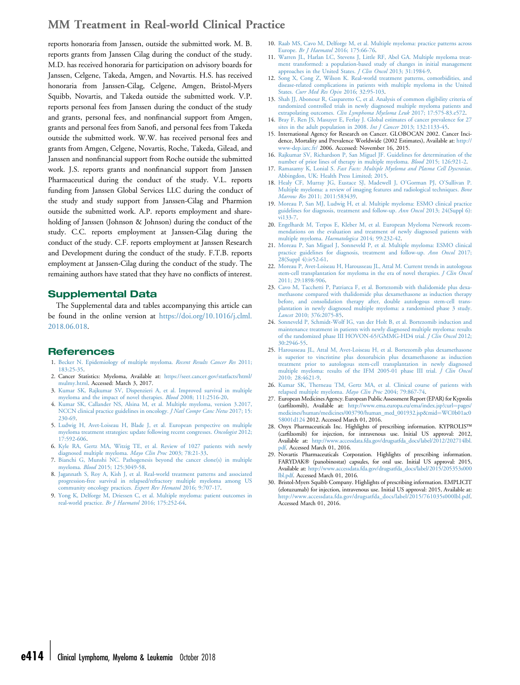<span id="page-13-0"></span>reports honoraria from Janssen, outside the submitted work. M. B. reports grants from Janssen Cilag during the conduct of the study. M.D. has received honoraria for participation on advisory boards for Janssen, Celgene, Takeda, Amgen, and Novartis. H.S. has received honoraria from Janssen-Cilag, Celgene, Amgen, Bristol-Myers Squibb, Novartis, and Takeda outside the submitted work. V.P. reports personal fees from Janssen during the conduct of the study and grants, personal fees, and nonfinancial support from Amgen, grants and personal fees from Sanofi, and personal fees from Takeda outside the submitted work. W.W. has received personal fees and grants from Amgen, Celgene, Novartis, Roche, Takeda, Gilead, and Janssen and nonfinancial support from Roche outside the submitted work. J.S. reports grants and nonfinancial support from Janssen Pharmaceutical during the conduct of the study. V.L. reports funding from Janssen Global Services LLC during the conduct of the study and study support from Janssen-Cilag and Pharmion outside the submitted work. A.P. reports employment and shareholding of Janssen (Johnson & Johnson) during the conduct of the study. C.C. reports employment at Janssen-Cilag during the conduct of the study. C.F. reports employment at Janssen Research and Development during the conduct of the study. F.T.B. reports employment at Janssen-Cilag during the conduct of the study. The remaining authors have stated that they have no conflicts of interest.

### Supplemental Data

The Supplemental data and tables accompanying this article can be found in the online version at [https://doi.org/10.1016/j.clml.](https://doi.org/10.1016/j.clml.2018.06.018) [2018.06.018.](https://doi.org/10.1016/j.clml.2018.06.018)

### References

- 1. [Becker N. Epidemiology of multiple myeloma.](http://refhub.elsevier.com/S2152-2650(18)30230-1/sref1) Recent Results Cancer Res 2011; [183:25-35](http://refhub.elsevier.com/S2152-2650(18)30230-1/sref1).
- 2. Cancer Statistics: Myeloma, Available at: [https://seer.cancer.gov/statfacts/html/](https://seer.cancer.gov/statfacts/html/mulmy.html) [mulmy.html](https://seer.cancer.gov/statfacts/html/mulmy.html). Accessed: March 3, 2017.
- 3. [Kumar SK, Rajkumar SV, Dispenzieri A, et al. Improved survival in multiple](http://refhub.elsevier.com/S2152-2650(18)30230-1/sref3) [myeloma and the impact of novel therapies.](http://refhub.elsevier.com/S2152-2650(18)30230-1/sref3) Blood 2008; 111:2516-20.
- 4. [Kumar SK, Callander NS, Alsina M, et al. Multiple myeloma, version 3.2017,](http://refhub.elsevier.com/S2152-2650(18)30230-1/sref4) [NCCN clinical practice guidelines in oncology.](http://refhub.elsevier.com/S2152-2650(18)30230-1/sref4) *J Natl Compr Canc Netw* 2017; 15: [230-69](http://refhub.elsevier.com/S2152-2650(18)30230-1/sref4).
- 5. [Ludwig H, Avet-Loiseau H, Blade J, et al. European perspective on multiple](http://refhub.elsevier.com/S2152-2650(18)30230-1/sref5) [myeloma treatment strategies: update following recent congresses.](http://refhub.elsevier.com/S2152-2650(18)30230-1/sref5) Oncologist 2012; [17:592-606.](http://refhub.elsevier.com/S2152-2650(18)30230-1/sref5)
- 6. [Kyle RA, Gertz MA, Witzig TE, et al. Review of 1027 patients with newly](http://refhub.elsevier.com/S2152-2650(18)30230-1/sref6) [diagnosed multiple myeloma.](http://refhub.elsevier.com/S2152-2650(18)30230-1/sref6) Mayo Clin Proc 2003; 78:21-33.
- 7. [Bianchi G, Munshi NC. Pathogenesis beyond the cancer clone\(s\) in multiple](http://refhub.elsevier.com/S2152-2650(18)30230-1/sref7) myeloma. Blood [2015; 125:3049-58](http://refhub.elsevier.com/S2152-2650(18)30230-1/sref7).
- 8. [Jagannath S, Roy A, Kish J, et al. Real-world treatment patterns and associated](http://refhub.elsevier.com/S2152-2650(18)30230-1/sref8) [progression-free survival in relapsed/refractory multiple myeloma among US](http://refhub.elsevier.com/S2152-2650(18)30230-1/sref8) [community oncology practices.](http://refhub.elsevier.com/S2152-2650(18)30230-1/sref8) Expert Rev Hematol 2016; 9:707-17.
- 9. [Yong K, Delforge M, Driessen C, et al. Multiple myeloma: patient outcomes in](http://refhub.elsevier.com/S2152-2650(18)30230-1/sref9) [real-world practice.](http://refhub.elsevier.com/S2152-2650(18)30230-1/sref9) Br J Haematol 2016; 175:252-64.
- 10. [Raab MS, Cavo M, Delforge M, et al. Multiple myeloma: practice patterns across](http://refhub.elsevier.com/S2152-2650(18)30230-1/sref10) Europe. Br J Haematol [2016; 175:66-76.](http://refhub.elsevier.com/S2152-2650(18)30230-1/sref10)
- 11. [Warren JL, Harlan LC, Stevens J, Little RF, Abel GA. Multiple myeloma treat](http://refhub.elsevier.com/S2152-2650(18)30230-1/sref11)[ment transformed: a population-based study of changes in initial management](http://refhub.elsevier.com/S2152-2650(18)30230-1/sref11)<br>[approaches in the United States.](http://refhub.elsevier.com/S2152-2650(18)30230-1/sref11) *J Clin Oncol* 2013; 31:1984-9.
- 12. [Song X, Cong Z, Wilson K. Real-world treatment patterns, comorbidities, and](http://refhub.elsevier.com/S2152-2650(18)30230-1/sref12) [disease-related complications in patients with multiple myeloma in the United](http://refhub.elsevier.com/S2152-2650(18)30230-1/sref12) States. [Curr Med Res Opin](http://refhub.elsevier.com/S2152-2650(18)30230-1/sref12) 2016; 32:95-103.
- 13. [Shah JJ, Abonour R, Gasparetto C, et al. Analysis of common eligibility criteria of](http://refhub.elsevier.com/S2152-2650(18)30230-1/sref13) [randomized controlled trials in newly diagnosed multiple myeloma patients and](http://refhub.elsevier.com/S2152-2650(18)30230-1/sref13)<br>extrapolating outcomes. *[Clin Lymphoma Myeloma Leuk](http://refhub.elsevier.com/S2152-2650(18)30230-1/sref13)* 2017; 17:575-83.e572.
- 14. [Bray F, Ren JS, Masuyer E, Ferlay J. Global estimates of cancer prevalence for 27](http://refhub.elsevier.com/S2152-2650(18)30230-1/sref14) [sites in the adult population in 2008.](http://refhub.elsevier.com/S2152-2650(18)30230-1/sref14) Int J Cancer 2013; 132:1133-45.
- 15. International Agency for Research on Cancer. GLOBOCAN 2002. Cancer Incidence, Mortality and Prevalence Worldwide (2002 Estimates), Available at: [http://](http://www-dep.iarc.fr/) [www-dep.iarc.fr/](http://www-dep.iarc.fr/) 2006. Accessed: November 16, 2015.
- 16. [Rajkumar SV, Richardson P, San Miguel JF. Guidelines for determination of the](http://refhub.elsevier.com/S2152-2650(18)30230-1/sref16) [number of prior lines of therapy in multiple myeloma.](http://refhub.elsevier.com/S2152-2650(18)30230-1/sref16) Blood 2015; 126:921-2.
- 17. Ramasamy K, Lonial S. [Fast Facts: Multiple Myeloma and Plasma Cell Dyscrasias](http://refhub.elsevier.com/S2152-2650(18)30230-1/sref17). [Abbingdon, UK: Health Press Limited; 2015.](http://refhub.elsevier.com/S2152-2650(18)30230-1/sref17)
- 18. [Healy CF, Murray JG, Eustace SJ, Madewell J, O](http://refhub.elsevier.com/S2152-2650(18)30230-1/sref18)'Gorman PJ, O'Sullivan P. [Multiple myeloma: a review of imaging features and radiological techniques.](http://refhub.elsevier.com/S2152-2650(18)30230-1/sref18) Bone Marrow Res [2011; 2011:583439](http://refhub.elsevier.com/S2152-2650(18)30230-1/sref18).
- 19. [Moreau P, San MJ, Ludwig H, et al. Multiple myeloma: ESMO clinical practice](http://refhub.elsevier.com/S2152-2650(18)30230-1/sref19) [guidelines for diagnosis, treatment and follow-up.](http://refhub.elsevier.com/S2152-2650(18)30230-1/sref19) Ann Oncol 2013; 24(Suppl 6): [vi133-7.](http://refhub.elsevier.com/S2152-2650(18)30230-1/sref19)
- 20. [Engelhardt M, Terpos E, Kleber M, et al. European Myeloma Network recom](http://refhub.elsevier.com/S2152-2650(18)30230-1/sref20)[mendations on the evaluation and treatment of newly diagnosed patients with](http://refhub.elsevier.com/S2152-2650(18)30230-1/sref20) [multiple myeloma.](http://refhub.elsevier.com/S2152-2650(18)30230-1/sref20) Haematologica 2014; 99:232-42.
- 21. [Moreau P, San Miguel J, Sonneveld P, et al. Multiple myeloma: ESMO clinical](http://refhub.elsevier.com/S2152-2650(18)30230-1/sref21) [practice guidelines for diagnosis, treatment and follow-up.](http://refhub.elsevier.com/S2152-2650(18)30230-1/sref21) Ann Oncol 2017; [28\(Suppl 4\):iv52-61](http://refhub.elsevier.com/S2152-2650(18)30230-1/sref21).
- 22. [Moreau P, Avet-Loiseau H, Harousseau JL, Attal M. Current trends in autologous](http://refhub.elsevier.com/S2152-2650(18)30230-1/sref22) [stem-cell transplantation for myeloma in the era of novel therapies.](http://refhub.elsevier.com/S2152-2650(18)30230-1/sref22) *J Clin Oncol* [2011; 29:1898-906](http://refhub.elsevier.com/S2152-2650(18)30230-1/sref22).
- 23. [Cavo M, Tacchetti P, Patriarca F, et al. Bortezomib with thalidomide plus dexa](http://refhub.elsevier.com/S2152-2650(18)30230-1/sref23)[methasone compared with thalidomide plus dexamethasone as induction therapy](http://refhub.elsevier.com/S2152-2650(18)30230-1/sref23) [before, and consolidation therapy after, double autologous stem-cell trans](http://refhub.elsevier.com/S2152-2650(18)30230-1/sref23)[plantation in newly diagnosed multiple myeloma: a randomised phase 3 study.](http://refhub.elsevier.com/S2152-2650(18)30230-1/sref23) .<br>Lancet [2010; 376:2075-85.](http://refhub.elsevier.com/S2152-2650(18)30230-1/sref23)
- 24. [Sonneveld P, Schmidt-Wolf IG, van der Holt B, et al. Bortezomib induction and](http://refhub.elsevier.com/S2152-2650(18)30230-1/sref24) [maintenance treatment in patients with newly diagnosed multiple myeloma: results](http://refhub.elsevier.com/S2152-2650(18)30230-1/sref24) [of the randomized phase III HOVON-65/GMMG-HD4 trial.](http://refhub.elsevier.com/S2152-2650(18)30230-1/sref24) *J Clin Oncol* 2012; [30:2946-55.](http://refhub.elsevier.com/S2152-2650(18)30230-1/sref24)
- 25. [Harousseau JL, Attal M, Avet-Loiseau H, et al. Bortezomib plus dexamethasone](http://refhub.elsevier.com/S2152-2650(18)30230-1/sref25) [is superior to vincristine plus doxorubicin plus dexamethasone as induction](http://refhub.elsevier.com/S2152-2650(18)30230-1/sref25) [treatment prior to autologous stem-cell transplantation in newly diagnosed](http://refhub.elsevier.com/S2152-2650(18)30230-1/sref25) [multiple myeloma: results of the IFM 2005-01 phase III trial.](http://refhub.elsevier.com/S2152-2650(18)30230-1/sref25) *J Clin Oncol* [2010; 28:4621-9](http://refhub.elsevier.com/S2152-2650(18)30230-1/sref25).
- 26. [Kumar SK, Therneau TM, Gertz MA, et al. Clinical course of patients with](http://refhub.elsevier.com/S2152-2650(18)30230-1/sref26) [relapsed multiple myeloma.](http://refhub.elsevier.com/S2152-2650(18)30230-1/sref26) Mayo Clin Proc 2004; 79:867-74.
- 27. EuropeanMedicines Agency. European Public Assessment Report (EPAR) for Kyprolis (carfilzomib), Available at: [http://www.ema.europa.eu/ema/index.jsp?curl](http://www.ema.europa.eu/ema/index.jsp?curl=pages/medicines/human/medicines/003790/human_med_001932.jsp&mid=WC0b01ac058001d124)= [medicines/human/medicines/003790/human\\_med\\_001932.jsp&mid](http://www.ema.europa.eu/ema/index.jsp?curl=pages/medicines/human/medicines/003790/human_med_001932.jsp&mid=WC0b01ac058001d124)=[WC0b01ac0](http://www.ema.europa.eu/ema/index.jsp?curl=pages/medicines/human/medicines/003790/human_med_001932.jsp&mid=WC0b01ac058001d124) [58001d124](http://www.ema.europa.eu/ema/index.jsp?curl=pages/medicines/human/medicines/003790/human_med_001932.jsp&mid=WC0b01ac058001d124) 2012. Accessed March 01, 2016.
- 28. Onyx Pharmaceuticals Inc. Highlights of prescribing information. KYPROLIS- (carfilzomib) for injection, for intravenous use. Initial US approval: 2012, Available at: [http://www.accessdata.fda.gov/drugsatfda\\_docs/label/2012/202714lbl.](http://www.accessdata.fda.gov/drugsatfda_docs/label/2012/202714lbl.pdf) df. Accessed March 01, 2016.
- 29. Novartis Pharmaceuticals Corporation. Highlights of prescribing information. FARYDAK (panobinostat) capsules, for oral use. Initial US approval: 2015, Available at: [http://www.accessdata.fda.gov/drugsatfda\\_docs/label/2015/205353s000](http://www.accessdata.fda.gov/drugsatfda_docs/label/2015/205353s000lbl.pdf) [lbl.pdf.](http://www.accessdata.fda.gov/drugsatfda_docs/label/2015/205353s000lbl.pdf) Accessed March 01, 2016.
- 30. Bristol-Myers Squibb Company. Highlights of prescribing information. EMPLICIT (elotuzumab) for injection, intravenous use. Initial US approval: 2015, Available at: [http://www.accessdata.fda.gov/drugsatfda\\_docs/label/2015/761035s000lbl.pdf](http://www.accessdata.fda.gov/drugsatfda_docs/label/2015/761035s000lbl.pdf). Accessed March 01, 2016.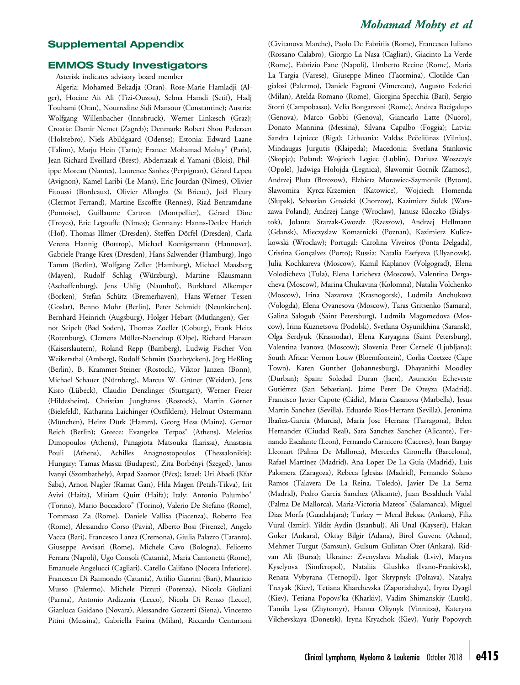### Supplemental Appendix

### EMMOS Study Investigators

Asterisk indicates advisory board member

Algeria: Mohamed Bekadja (Oran), Rose-Marie Hamladji (Alger), Hocine Ait Ali (Tizi-Ouzou), Selma Hamdi (Setif), Hadj Touhami (Oran), Nourredine Sidi Mansour (Constantine); Austria: Wolfgang Willenbacher (Innsbruck), Werner Linkesch (Graz); Croatia: Damir Nemet (Zagreb); Denmark: Robert Shou Pedersen (Holstebro), Niels Abildgaard (Odense); Estonia: Edward Laane (Talinn), Marju Hein (Tartu); France: Mohamad Mohty\* (Paris), Jean Richard Eveillard (Brest), Abderrazak el Yamani (Blois), Philippe Moreau (Nantes), Laurence Sanhes (Perpignan), Gérard Lepeu (Avignon), Kamel Laribi (Le Mans), Eric Jourdan (Nîmes), Olivier Fitoussi (Bordeaux), Olivier Allangba (St Brieuc), Joël Fleury (Clermot Ferrand), Martine Escoffre (Rennes), Riad Benramdane (Pontoise), Guillaume Cartron (Montpellier), Gérard Dine (Troyes), Eric Legouffe (Nîmes); Germany: Hanns-Detlev Harich (Hof), Thomas Illmer (Dresden), Steffen Dörfel (Dresden), Carla Verena Hannig (Bottrop), Michael Koenigsmann (Hannover), Gabriele Prange-Krex (Dresden), Hans Salwender (Hamburg), Ingo Tamm (Berlin), Wolfgang Zeller (Hamburg), Michael Maasberg (Mayen), Rudolf Schlag (Würzburg), Martine Klausmann (Aschaffenburg), Jens Uhlig (Naunhof), Burkhard Alkemper (Borken), Stefan Schütz (Bremerhaven), Hans-Werner Tessen (Goslar), Benno Mohr (Berlin), Peter Schmidt (Neunkirchen), Bernhard Heinrich (Augsburg), Holger Hebart (Mutlangen), Gernot Seipelt (Bad Soden), Thomas Zoeller (Coburg), Frank Heits (Rotenburg), Clemens Müller-Naendrup (Olpe), Richard Hansen (Kaiserslautern), Roland Repp (Bamberg), Ludwig Fischer Von Weikersthal (Amberg), Rudolf Schmits (Saarbrÿcken), Jörg Heßling (Berlin), B. Krammer-Steiner (Rostock), Viktor Janzen (Bonn), Michael Schauer (Nürnberg), Marcus W. Grüner (Weiden), Jens Kisro (Lübeck), Claudio Denzlinger (Stuttgart), Werner Freier (Hildesheim), Christian Junghanss (Rostock), Martin Görner (Bielefeld), Katharina Laichinger (Ostfildern), Helmut Ostermann (München), Heinz Dürk (Hamm), Georg Hess (Mainz), Gernot Reich (Berlin); Greece: Evangelos Terpos\* (Athens), Meletios Dimopoulos (Athens), Panagiota Matsouka (Larissa), Anastasia Pouli (Athens), Achilles Anagnostopoulos (Thessalonikis); Hungary: Tamas Masszi (Budapest), Zita Borbényi (Szeged), Janos Ivanyi (Szombathely), Arpad Szomor (Pécs); Israel: Uri Abadi (Kfar Saba), Arnon Nagler (Ramat Gan), Hila Magen (Petah-Tikva), Irit Avivi (Haifa), Miriam Quitt (Haifa); Italy: Antonio Palumbo (Torino), Mario Boccadoro\* (Torino), Valerio De Stefano (Rome), Tommaso Za (Rome), Daniele Vallisa (Piacenza), Roberto Foa (Rome), Alessandro Corso (Pavia), Alberto Bosi (Firenze), Angelo Vacca (Bari), Francesco Lanza (Cremona), Giulia Palazzo (Taranto), Giuseppe Avvisati (Rome), Michele Cavo (Bologna), Felicetto Ferrara (Napoli), Ugo Consoli (Catania), Maria Cantonetti (Rome), Emanuele Angelucci (Cagliari), Catello Califano (Nocera Inferiore), Francesco Di Raimondo (Catania), Attilio Guarini (Bari), Maurizio Musso (Palermo), Michele Pizzuti (Potenza), Nicola Giuliani (Parma), Antonio Ardizzoia (Lecco), Nicola Di Renzo (Lecce), Gianluca Gaidano (Novara), Alessandro Gozzetti (Siena), Vincenzo Pitini (Messina), Gabriella Farina (Milan), Riccardo Centurioni

(Civitanova Marche), Paolo De Fabritiis (Rome), Francesco Iuliano (Rossano Calabro), Giorgio La Nasa (Cagliari), Giacinto La Verde (Rome), Fabrizio Pane (Napoli), Umberto Recine (Rome), Maria La Targia (Varese), Giuseppe Mineo (Taormina), Clotilde Cangialosi (Palermo), Daniele Fagnani (Vimercate), Augusto Federici (Milan), Atelda Romano (Rome), Giorgina Specchia (Bari), Sergio Storti (Campobasso), Velia Bongarzoni (Rome), Andrea Bacigalupo (Genova), Marco Gobbi (Genova), Giancarlo Latte (Nuoro), Donato Mannina (Messina), Silvana Capalbo (Foggia); Latvia: Sandra Lejniece (Riga); Lithuania: Valdas Pečeliūnas (Vilnius), Mindaugas Jurgutis (Klaipeda); Macedonia: Svetlana Stankovic (Skopje); Poland: Wojciech Legiec (Lublin), Dariusz Woszczyk (Opole), Jadwiga Hołojda (Legnica), Slawomir Gornik (Zamosc), Andrzej Pluta (Brzozow), Elzbieta Morawiec-Szymonik (Bytom), Slawomira Kyrcz-Krzemien (Katowice), Wojciech Homenda (Slupsk), Sebastian Grosicki (Chorzow), Kazimierz Sulek (Warszawa Poland), Andrzej Lange (Wroclaw), Janusz Kloczko (Bialystok), Jolanta Starzak-Gwozdz (Rzeszow), Andrzej Hellmann (Gdansk), Mieczyslaw Komarnicki (Poznan), Kazimierz Kuliczkowski (Wroclaw); Portugal: Carolina Viveiros (Ponta Delgada), Cristina Gonçalves (Porto); Russia: Natalia Esefyeva (Ulyanovsk), Julia Kochkareva (Moscow), Kamil Kaplanov (Volgograd), Elena Volodicheva (Tula), Elena Laricheva (Moscow), Valentina Dergacheva (Moscow), Marina Chukavina (Kolomna), Natalia Volchenko (Moscow), Irina Nazarova (Krasnogorsk), Ludmila Anchukova (Vologda), Elena Ovanesova (Moscow), Taras Gritsenko (Samara), Galina Salogub (Saint Petersburg), Ludmila Magomedova (Moscow), Irina Kuznetsova (Podolsk), Svetlana Osyunikhina (Saransk), Olga Serdyuk (Krasnodar), Elena Karyagina (Saint Petersburg), Valentina Ivanova (Moscow); Slovenia Peter Černelč (Ljubljana); South Africa: Vernon Louw (Bloemfontein), Corlia Coetzee (Cape Town), Karen Gunther (Johannesburg), Dhayanithi Moodley (Durban); Spain: Soledad Duran (Jaen), Asunción Echeveste Gutiérrez (San Sebastian), Jaime Perez De Oteyza (Madrid), Francisco Javier Capote (Cádiz), Maria Casanova (Marbella), Jesus Martin Sanchez (Sevilla), Eduardo Rios-Herranz (Sevilla), Jeronima Ibañez-Garcia (Murcia), Maria Jose Herranz (Tarragona), Belen Hernandez (Ciudad Real), Sara Sanchez Sanchez (Alicante), Fernando Escalante (Leon), Fernando Carnicero (Caceres), Joan Bargay Lleonart (Palma De Mallorca), Mercedes Gironella (Barcelona), Rafael Martínez (Madrid), Ana Lopez De La Guia (Madrid), Luis Palomera (Zaragoza), Rebeca Iglesias (Madrid), Fernando Solano Ramos (Talavera De La Reina, Toledo), Javier De La Serna (Madrid), Pedro Garcia Sanchez (Alicante), Juan Besalduch Vidal (Palma De Mallorca), Maria-Victoria Mateos<sup>\*</sup> (Salamanca), Miguel Diaz Morfa (Guadalajara); Turkey - Meral Beksac (Ankara), Filiz Vural (Izmir), Yildiz Aydin (Istanbul), Ali Unal (Kayseri), Hakan Goker (Ankara), Oktay Bilgir (Adana), Birol Guvenc (Adana), Mehmet Turgut (Samsun), Gulsum Gulistan Ozet (Ankara), Ridvan Ali (Bursa); Ukraine: Zvenyslava Masliak (Lviv), Maryna Kyselyova (Simferopol), Nataliia Glushko (Ivano-Frankivsk), Renata Vybyrana (Ternopil), Igor Skrypnyk (Poltava), Natalya Tretyak (Kiev), Tetiana Kharchevska (Zaporizhzhya), Iryna Dyagil (Kiev), Tetiana Popovs'ka (Kharkiv), Vadim Shimanskiy (Lutsk), Tamila Lysa (Zhytomyr), Hanna Oliynyk (Vinnitsa), Kateryna Vilchevskaya (Donetsk), Iryna Kryachok (Kiev), Yuriy Popovych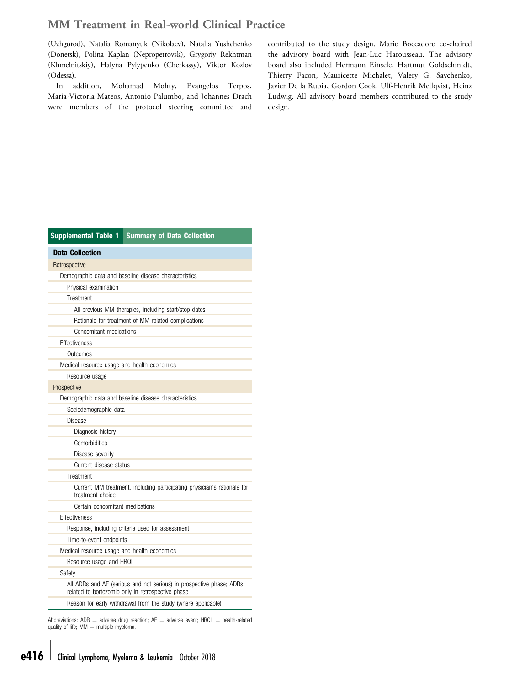<span id="page-15-0"></span>(Uzhgorod), Natalia Romanyuk (Nikolaev), Natalia Yushchenko (Donetsk), Polina Kaplan (Nepropetrovsk), Grygoriy Rekhtman (Khmelnitskiy), Halyna Pylypenko (Cherkassy), Viktor Kozlov (Odessa).

In addition, Mohamad Mohty, Evangelos Terpos, Maria-Victoria Mateos, Antonio Palumbo, and Johannes Drach were members of the protocol steering committee and

contributed to the study design. Mario Boccadoro co-chaired the advisory board with Jean-Luc Harousseau. The advisory board also included Hermann Einsele, Hartmut Goldschmidt, Thierry Facon, Mauricette Michalet, Valery G. Savchenko, Javier De la Rubia, Gordon Cook, Ulf-Henrik Mellqvist, Heinz Ludwig. All advisory board members contributed to the study design.

| <b>Supplemental Table 1</b><br><b>Summary of Data Collection</b>                                                          |  |
|---------------------------------------------------------------------------------------------------------------------------|--|
| <b>Data Collection</b>                                                                                                    |  |
| Retrospective                                                                                                             |  |
| Demographic data and baseline disease characteristics                                                                     |  |
| Physical examination                                                                                                      |  |
| Treatment                                                                                                                 |  |
| All previous MM therapies, including start/stop dates                                                                     |  |
| Rationale for treatment of MM-related complications                                                                       |  |
| Concomitant medications                                                                                                   |  |
| Effectiveness                                                                                                             |  |
| Outcomes                                                                                                                  |  |
| Medical resource usage and health economics                                                                               |  |
| Resource usage                                                                                                            |  |
| Prospective                                                                                                               |  |
| Demographic data and baseline disease characteristics                                                                     |  |
| Sociodemographic data                                                                                                     |  |
| Disease                                                                                                                   |  |
| Diagnosis history                                                                                                         |  |
| Comorbidities                                                                                                             |  |
| Disease severity                                                                                                          |  |
| Current disease status                                                                                                    |  |
| Treatment                                                                                                                 |  |
| Current MM treatment, including participating physician's rationale for<br>treatment choice                               |  |
| Certain concomitant medications                                                                                           |  |
| Effectiveness                                                                                                             |  |
| Response, including criteria used for assessment                                                                          |  |
| Time-to-event endpoints                                                                                                   |  |
| Medical resource usage and health economics                                                                               |  |
| Resource usage and HRQL                                                                                                   |  |
| Safety                                                                                                                    |  |
| All ADRs and AE (serious and not serious) in prospective phase; ADRs<br>related to bortezomib only in retrospective phase |  |
| Reason for early withdrawal from the study (where applicable)                                                             |  |
|                                                                                                                           |  |

Abbreviations:  $ADR =$  adverse drug reaction;  $AE =$  adverse event;  $HRQL =$  health-related quality of life;  $MM =$  multiple myeloma.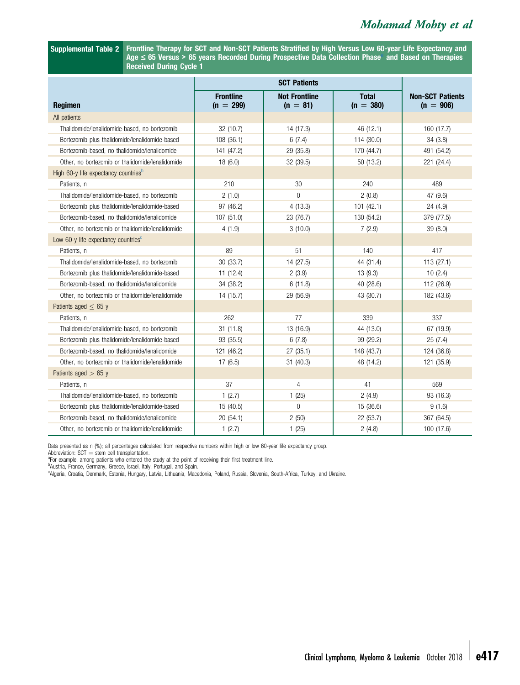<span id="page-16-0"></span>Supplemental Table 2 Frontline Therapy for SCT and Non-SCT Patients Stratified by High Versus Low 60-year Life Expectancy and  $Age \leq 65$  Versus > 65 years Recorded During Prospective Data Collection Phase<sup>3</sup> and Based on Therapies Received During Cycle 1

| <b>Regimen</b>                                                   | <b>Frontline</b><br>$(n = 299)$ | <b>Not Frontline</b><br>$(n = 81)$ | <b>Total</b><br>$(n = 380)$ | <b>Non-SCT Patients</b><br>$(n = 906)$ |
|------------------------------------------------------------------|---------------------------------|------------------------------------|-----------------------------|----------------------------------------|
| All patients                                                     |                                 |                                    |                             |                                        |
| Thalidomide/lenalidomide-based, no bortezomib                    | 32 (10.7)                       | 14 (17.3)                          | 46 (12.1)                   | 160 (17.7)                             |
| Bortezomib plus thalidomide/lenalidomide-based                   | 108 (36.1)                      | 6(7.4)                             | 114 (30.0)                  | 34(3.8)                                |
| Bortezomib-based, no thalidomide/lenalidomide                    | 141 (47.2)                      | 29 (35.8)                          | 170 (44.7)                  | 491 (54.2)                             |
| Other, no bortezomib or thalidomide/lenalidomide                 | 18(6.0)                         | 32 (39.5)                          | 50 (13.2)                   | 221 (24.4)                             |
| High 60-y life expectancy countries <sup>b</sup>                 |                                 |                                    |                             |                                        |
| Patients, n                                                      | 210                             | 30                                 | 240                         | 489                                    |
| Thalidomide/lenalidomide-based, no bortezomib                    | 2(1.0)                          | $\overline{0}$                     | 2(0.8)                      | 47 (9.6)                               |
| Bortezomib plus thalidomide/lenalidomide-based                   | 97 (46.2)                       | 4(13.3)                            | 101(42.1)                   | 24 (4.9)                               |
| Bortezomib-based, no thalidomide/lenalidomide                    | 107 (51.0)                      | 23 (76.7)                          | 130 (54.2)                  | 379 (77.5)                             |
| Other, no bortezomib or thalidomide/lenalidomide                 | 4(1.9)                          | 3(10.0)                            | 7(2.9)                      | 39 (8.0)                               |
| Low 60-y life expectancy countries <sup><math>\circ</math></sup> |                                 |                                    |                             |                                        |
| Patients, n                                                      | 89                              | 51                                 | 140                         | 417                                    |
| Thalidomide/lenalidomide-based, no bortezomib                    | 30 (33.7)                       | 14 (27.5)                          | 44 (31.4)                   | 113 (27.1)                             |
| Bortezomib plus thalidomide/lenalidomide-based                   | 11(12.4)                        | 2(3.9)                             | 13(9.3)                     | 10(2.4)                                |
| Bortezomib-based, no thalidomide/lenalidomide                    | 34 (38.2)                       | 6(11.8)                            | 40 (28.6)                   | 112 (26.9)                             |
| Other, no bortezomib or thalidomide/lenalidomide                 | 14 (15.7)                       | 29 (56.9)                          | 43 (30.7)                   | 182 (43.6)                             |
| Patients aged $< 65 y$                                           |                                 |                                    |                             |                                        |
| Patients, n                                                      | 262                             | 77                                 | 339                         | 337                                    |
| Thalidomide/lenalidomide-based, no bortezomib                    | 31(11.8)                        | 13 (16.9)                          | 44 (13.0)                   | 67 (19.9)                              |
| Bortezomib plus thalidomide/lenalidomide-based                   | 93 (35.5)                       | 6(7.8)                             | 99 (29.2)                   | 25(7.4)                                |
| Bortezomib-based, no thalidomide/lenalidomide                    | 121 (46.2)                      | 27(35.1)                           | 148 (43.7)                  | 124 (36.8)                             |
| Other, no bortezomib or thalidomide/lenalidomide                 | 17(6.5)                         | 31 (40.3)                          | 48 (14.2)                   | 121 (35.9)                             |
| Patients aged $> 65$ y                                           |                                 |                                    |                             |                                        |
| Patients, n                                                      | 37                              | $\overline{4}$                     | 41                          | 569                                    |
| Thalidomide/lenalidomide-based, no bortezomib                    | 1(2.7)                          | 1(25)                              | 2(4.9)                      | 93 (16.3)                              |
| Bortezomib plus thalidomide/lenalidomide-based                   | 15 (40.5)                       | $\overline{0}$                     | 15 (36.6)                   | 9(1.6)                                 |
| Bortezomib-based, no thalidomide/lenalidomide                    | 20 (54.1)                       | 2(50)                              | 22 (53.7)                   | 367 (64.5)                             |
| Other, no bortezomib or thalidomide/lenalidomide                 | 1(2.7)                          | 1(25)                              | 2(4.8)                      | 100 (17.6)                             |

Data presented as n (%); all percentages calculated from respective numbers within high or low 60-year life expectancy group.<br>Abbreviation: SCT = stem cell transplantation.

Abbreviation: SCT = stem cell transplantation.<br><sup>a</sup>For example, among patients who entered the study at the point of receiving their first treatment line.<br><sup>b</sup>Austria, France, Germany, Greece, Israel, Italy, Portugal, and Sp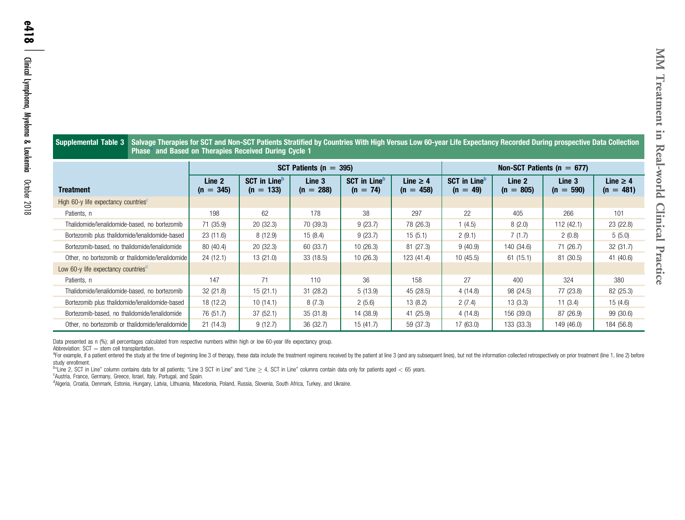<span id="page-17-0"></span>

| Supplemental Table 3                             | Salvage Therapies for SCT and Non-SCT Patients Stratified by Countries With High Versus Low 60-year Life Expectancy Recorded During prospective Data Collection<br><b>Phase</b> and Based on Therapies Received During Cycle 1 |                       |                                                |                            |                                               |                                |                                               |                       |                       |                              |
|--------------------------------------------------|--------------------------------------------------------------------------------------------------------------------------------------------------------------------------------------------------------------------------------|-----------------------|------------------------------------------------|----------------------------|-----------------------------------------------|--------------------------------|-----------------------------------------------|-----------------------|-----------------------|------------------------------|
|                                                  |                                                                                                                                                                                                                                |                       |                                                | SCT Patients ( $n = 395$ ) |                                               | Non-SCT Patients ( $n = 677$ ) |                                               |                       |                       |                              |
| <b>Treatment</b>                                 |                                                                                                                                                                                                                                | Line 2<br>$(n = 345)$ | <b>SCT in Line</b> <sup>D</sup><br>$(n = 133)$ | Line 3<br>288)<br>$(n =$   | <b>SCT in Line</b> <sup>D</sup><br>$(n = 74)$ | Line $\geq 4$<br>$(n = 458)$   | <b>SCT</b> in Line <sup>b</sup><br>$(n = 49)$ | Line 2<br>$(n = 805)$ | Line 3<br>$(n = 590)$ | Line $\geq 4$<br>$(n = 481)$ |
| High 60-y life expectancy countries <sup>c</sup> |                                                                                                                                                                                                                                |                       |                                                |                            |                                               |                                |                                               |                       |                       |                              |
| Patients, n                                      |                                                                                                                                                                                                                                | 198                   | 62                                             | 178                        | 38                                            | 297                            | 22                                            | 405                   | 266                   | 101                          |
| Thalidomide/lenalidomide-based, no bortezomib    |                                                                                                                                                                                                                                | 71 (35.9)             | 20(32.3)                                       | 70 (39.3)                  | 9(23.7)                                       | 78 (26.3)                      | 1(4.5)                                        | 8(2.0)                | 112 (42.1)            | 23 (22.8)                    |
| Bortezomib plus thalidomide/lenalidomide-based   |                                                                                                                                                                                                                                | 23(11.6)              | 8(12.9)                                        | 15(8.4)                    | 9(23.7)                                       | 15(5.1)                        | 2(9.1)                                        | 7(1.7)                | 2(0.8)                | 5(5.0)                       |
| Bortezomib-based, no thalidomide/lenalidomide    |                                                                                                                                                                                                                                | 80 (40.4)             | 20 (32.3)                                      | 60 (33.7)                  | 10(26.3)                                      | 81 (27.3)                      | 9(40.9)                                       | 140 (34.6)            | 71 (26.7)             | 32 (31.7)                    |
| Other, no bortezomib or thalidomide/lenalidomide |                                                                                                                                                                                                                                | 24(12.1)              | 13(21.0)                                       | 33 (18.5)                  | 10(26.3)                                      | 123 (41.4)                     | 10(45.5)                                      | 61(15.1)              | 81 (30.5)             | 41 (40.6)                    |
| Low 60-y life expectancy countries <sup>a</sup>  |                                                                                                                                                                                                                                |                       |                                                |                            |                                               |                                |                                               |                       |                       |                              |
| Patients, n                                      |                                                                                                                                                                                                                                | 147                   | 71                                             | 110                        | 36                                            | 158                            | 27                                            | 400                   | 324                   | 380                          |
| Thalidomide/lenalidomide-based, no bortezomib    |                                                                                                                                                                                                                                | 32(21.8)              | 15(21.1)                                       | 31(28.2)                   | 5(13.9)                                       | 45 (28.5)                      | 4(14.8)                                       | 98 (24.5)             | 77 (23.8)             | 82 (25.3)                    |
| Bortezomib plus thalidomide/lenalidomide-based   |                                                                                                                                                                                                                                | 18 (12.2)             | 10(14.1)                                       | 8(7.3)                     | 2(5.6)                                        | 13 (8.2)                       | 2(7.4)                                        | 13(3.3)               | 11 $(3.4)$            | 15(4.6)                      |
| Bortezomib-based, no thalidomide/lenalidomide    |                                                                                                                                                                                                                                | 76 (51.7)             | 37(52.1)                                       | 35(31.8)                   | 14 (38.9)                                     | 41 (25.9)                      | 4(14.8)                                       | 156 (39.0)            | 87 (26.9)             | 99 (30.6)                    |
| Other, no bortezomib or thalidomide/lenalidomide |                                                                                                                                                                                                                                | 21(14.3)              | 9(12.7)                                        | 36 (32.7)                  | 15 (41.7)                                     | 59 (37.3)                      | 17 (63.0)                                     | 133 (33.3)            | 149 (46.0)            | 184 (56.8)                   |

Data presented as <sup>n</sup> (%); all percentages calculated from respective numbers within high or low 60-year life expectancy group. Abbreviation: SCT  $=$  stem cell transplantation.

<sup>a</sup>For example, if a patient entered the study at the time of beginning line 3 of therapy, these data include the treatment regimens received by the patient at line 3 (and any subsequent lines), but not the information col

study enrollment.<br><sup>b</sup>"Line 2, SCT in Line" column contains data for all patients; "Line 3 SCT in Line" and "Line 2 4, SCT in Line" columns contain data only for patients aged < 65 years.

<sup>c</sup>Austria, France, Germany, Greece, Israel, Italy, Portugal, and Spain.

dAlgeria, Croatia, Denmark, Estonia, Hungary, Latvia, Lithuania, Macedonia, Poland, Russia, Slovenia, South Africa, Turkey, and Ukraine.